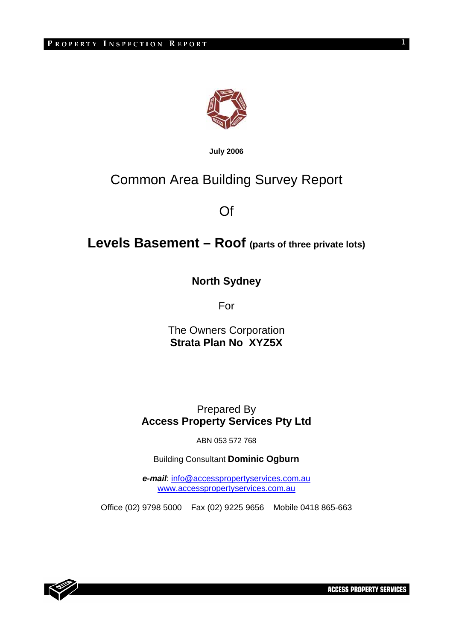

**July 2006**

# Common Area Building Survey Report

Of

# **Levels Basement – Roof (parts of three private lots)**

**North Sydney** 

For

The Owners Corporation **Strata Plan No XYZ5X** 

Prepared By **Access Property Services Pty Ltd** 

ABN 053 572 768

Building Consultant **Dominic Ogburn** 

*e-mail*: info@accesspropertyservices.com.au www.accesspropertyservices.com.au

Office (02) 9798 5000 Fax (02) 9225 9656 Mobile 0418 865-663



**ACCESS PROPERTY SERVICES** 

1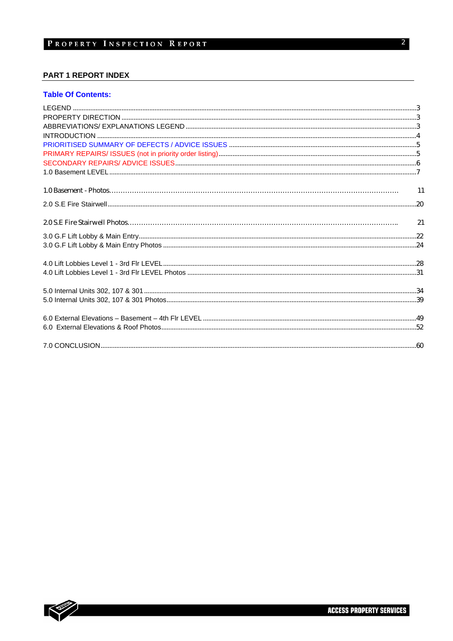#### **PART 1 REPORT INDEX**

#### **Table Of Contents:**

| $\overline{11}$ |
|-----------------|
|                 |
| 21              |
|                 |
|                 |
|                 |
|                 |
|                 |
|                 |
|                 |
|                 |
|                 |

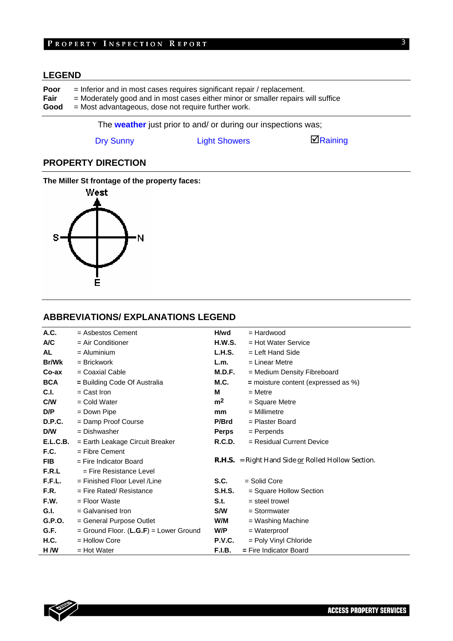## PROPERTY INSPECTION REPORT

## **LEGEND**

| Poor | $=$ Inferior and in most cases requires significant repair / replacement.        |  |  |  |  |
|------|----------------------------------------------------------------------------------|--|--|--|--|
| Fair | = Moderately good and in most cases either minor or smaller repairs will suffice |  |  |  |  |
| Good | $=$ Most advantageous, dose not require further work.                            |  |  |  |  |

The **weather** just prior to and/ or during our inspections was;

Dry Sunny **Light Showers Example 3** Raining

## **PROPERTY DIRECTION**

#### **The Miller St frontage of the property faces:**



## **ABBREVIATIONS/ EXPLANATIONS LEGEND**

| A.C.         | $=$ Asbestos Cement                    | H/wd           | $=$ Hardwood                                              |
|--------------|----------------------------------------|----------------|-----------------------------------------------------------|
| A/C          | $=$ Air Conditioner                    | <b>H.W.S.</b>  | $=$ Hot Water Service                                     |
| AL           | $=$ Aluminium                          | L.H.S.         | $=$ Left Hand Side                                        |
| <b>Br/Wk</b> | $=$ Brickwork                          | L.m.           | = Linear Metre                                            |
| Co-ax        | $=$ Coaxial Cable                      | M.D.F.         | = Medium Density Fibreboard                               |
| <b>BCA</b>   | = Building Code Of Australia           | M.C.           | = moisture content (expressed as %)                       |
| C.I.         | $=$ Cast Iron                          | м              | $=$ Metre                                                 |
| C/W          | $=$ Cold Water                         | m <sup>2</sup> | = Square Metre                                            |
| D/P          | = Down Pipe                            | mm             | $=$ Millimetre                                            |
| D.P.C.       | = Damp Proof Course                    | P/Brd          | = Plaster Board                                           |
| D/W          | $=$ Dishwasher                         | Perps          | $=$ Perpends                                              |
| E.L.C.B.     | = Earth Leakage Circuit Breaker        | R.C.D.         | $=$ Residual Current Device                               |
| F.C.         | $=$ Fibre Cement                       |                |                                                           |
| <b>FIB</b>   | $=$ Fire Indicator Board               |                | <b>R.H.S.</b> = Right Hand Side or Rolled Hollow Section. |
| F.R.L        | $=$ Fire Resistance Level              |                |                                                           |
| F.F.L.       | $=$ Finished Floor Level / Line        | S.C.           | $=$ Solid Core                                            |
| F.R.         | $=$ Fire Rated/ Resistance             | <b>S.H.S.</b>  | = Square Hollow Section                                   |
| F.W.         | $=$ Floor Waste                        | S.t.           | $=$ steel trowel                                          |
| G.I.         | $=$ Galvanised Iron                    | <b>S/W</b>     | $=$ Stormwater                                            |
| G.P.O.       | = General Purpose Outlet               | W/M            | = Washing Machine                                         |
| G.F.         | = Ground Floor. (L.G.F) = Lower Ground | W/P            | = Waterproof                                              |
| <b>H.C.</b>  | $=$ Hollow Core                        | <b>P.V.C.</b>  | = Poly Vinyl Chloride                                     |
| H /W         | $=$ Hot Water                          | <b>F.I.B.</b>  | $=$ Fire Indicator Board                                  |

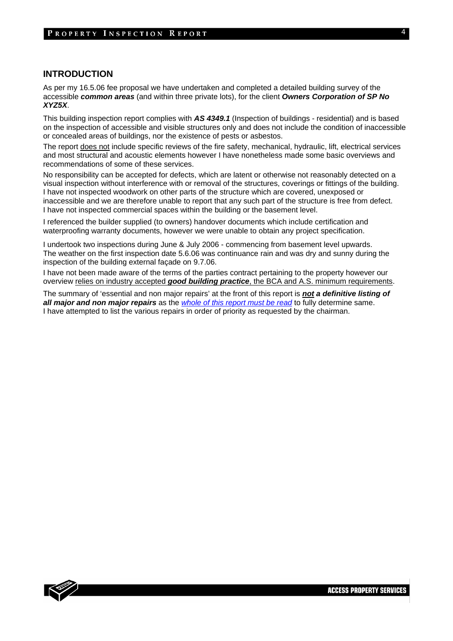#### **INTRODUCTION**

As per my 16.5.06 fee proposal we have undertaken and completed a detailed building survey of the accessible *common areas* (and within three private lots), for the client *Owners Corporation of SP No XYZ5X*.

This building inspection report complies with *AS 4349.1* (Inspection of buildings - residential) and is based on the inspection of accessible and visible structures only and does not include the condition of inaccessible or concealed areas of buildings, nor the existence of pests or asbestos.

The report does not include specific reviews of the fire safety, mechanical, hydraulic, lift, electrical services and most structural and acoustic elements however I have nonetheless made some basic overviews and recommendations of some of these services.

No responsibility can be accepted for defects, which are latent or otherwise not reasonably detected on a visual inspection without interference with or removal of the structures, coverings or fittings of the building. I have not inspected woodwork on other parts of the structure which are covered, unexposed or inaccessible and we are therefore unable to report that any such part of the structure is free from defect. I have not inspected commercial spaces within the building or the basement level.

I referenced the builder supplied (to owners) handover documents which include certification and waterproofing warranty documents, however we were unable to obtain any project specification.

I undertook two inspections during June & July 2006 - commencing from basement level upwards. The weather on the first inspection date 5.6.06 was continuance rain and was dry and sunny during the inspection of the building external façade on 9.7.06.

I have not been made aware of the terms of the parties contract pertaining to the property however our overview relies on industry accepted *good building practice*, the BCA and A.S. minimum requirements.

The summary of 'essential and non major repairs' at the front of this report is *not a definitive listing of all major and non major repairs* as the *whole of this report must be read* to fully determine same. I have attempted to list the various repairs in order of priority as requested by the chairman.

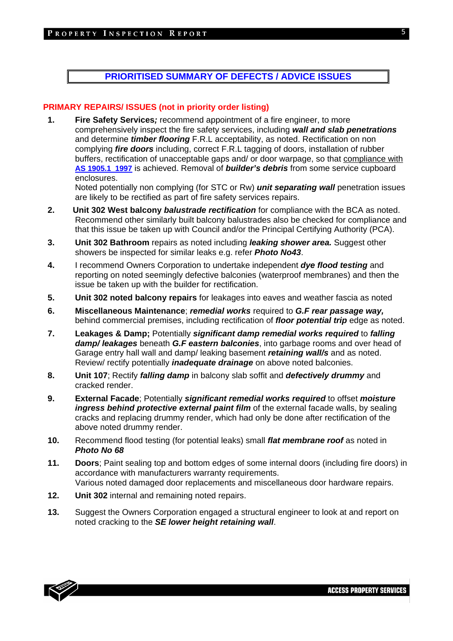## **PRIORITISED SUMMARY OF DEFECTS / ADVICE ISSUES**

#### **PRIMARY REPAIRS/ ISSUES (not in priority order listing)**

**1. Fire Safety Services***;* recommend appointment of a fire engineer, to more comprehensively inspect the fire safety services, including *wall and slab penetrations* and determine *timber flooring* F.R.L acceptability, as noted. Rectification on non complying *fire doors* including, correct F.R.L tagging of doors, installation of rubber buffers, rectification of unacceptable gaps and/ or door warpage, so that compliance with **AS 1905.1 1997** is achieved. Removal of *builder's debris* from some service cupboard enclosures.

Noted potentially non complying (for STC or Rw) *unit separating wall* penetration issues are likely to be rectified as part of fire safety services repairs.

- **2. Unit 302 West balcony** *balustrade rectification* for compliance with the BCA as noted. Recommend other similarly built balcony balustrades also be checked for compliance and that this issue be taken up with Council and/or the Principal Certifying Authority (PCA).
- **3. Unit 302 Bathroom** repairs as noted including *leaking shower area.* Suggest other showers be inspected for similar leaks e.g. refer *Photo No43*.
- **4.** I recommend Owners Corporation to undertake independent *dye flood testing* and reporting on noted seemingly defective balconies (waterproof membranes) and then the issue be taken up with the builder for rectification.
- **5. Unit 302 noted balcony repairs** for leakages into eaves and weather fascia as noted
- **6. Miscellaneous Maintenance**; *remedial works* required to *G.F rear passage way,*  behind commercial premises, including rectification of *floor potential trip* edge as noted.
- **7. Leakages & Damp;** Potentially *significant damp remedial works required* to *falling damp/ leakages* beneath *G.F eastern balconies*, into garbage rooms and over head of Garage entry hall wall and damp/ leaking basement *retaining wall/s* and as noted. Review/ rectify potentially *inadequate drainage* on above noted balconies.
- **8. Unit 107**; Rectify *falling damp* in balcony slab soffit and *defectively drummy* and cracked render.
- **9. External Facade**; Potentially *significant remedial works required* to offset *moisture ingress behind protective external paint film* of the external facade walls, by sealing cracks and replacing drummy render, which had only be done after rectification of the above noted drummy render.
- **10.** Recommend flood testing (for potential leaks) small *flat membrane roof* as noted in *Photo No 68*
- **11. Doors**; Paint sealing top and bottom edges of some internal doors (including fire doors) in accordance with manufacturers warranty requirements. Various noted damaged door replacements and miscellaneous door hardware repairs.
- **12. Unit 302** internal and remaining noted repairs.
- **13.** Suggest the Owners Corporation engaged a structural engineer to look at and report on noted cracking to the *SE lower height retaining wall*.

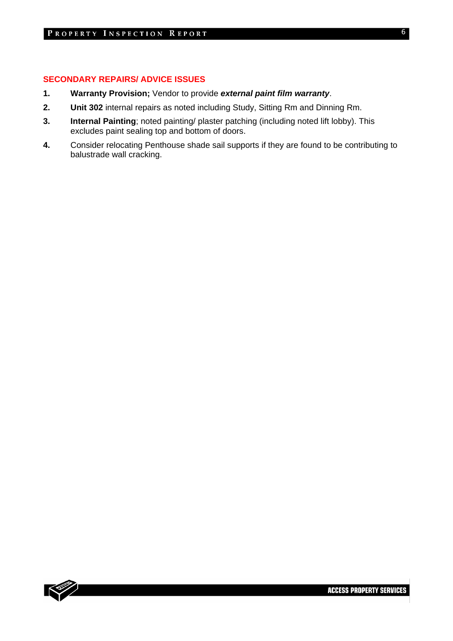#### **SECONDARY REPAIRS/ ADVICE ISSUES**

- **1. Warranty Provision;** Vendor to provide *external paint film warranty*.
- **2. Unit 302** internal repairs as noted including Study, Sitting Rm and Dinning Rm.
- **3. Internal Painting**; noted painting/ plaster patching (including noted lift lobby). This excludes paint sealing top and bottom of doors.
- **4.** Consider relocating Penthouse shade sail supports if they are found to be contributing to balustrade wall cracking.

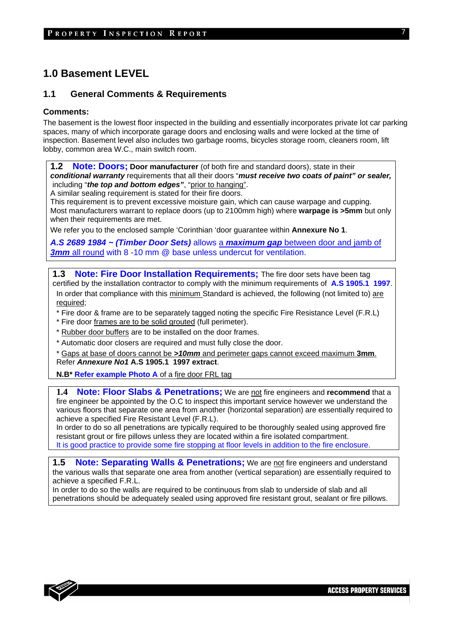## **1.0 Basement LEVEL**

### **1.1 General Comments & Requirements**

#### **Comments:**

The basement is the lowest floor inspected in the building and essentially incorporates private lot car parking spaces, many of which incorporate garage doors and enclosing walls and were locked at the time of inspection. Basement level also includes two garbage rooms, bicycles storage room, cleaners room, lift lobby, common area W.C., main switch room.

**1.2 Note: Doors; Door manufacturer** (of both fire and standard doors), state in their *conditional warranty* requirements that all their doors "*must receive two coats of paint" or sealer,* including "*the top and bottom edges"*, "prior to hanging".

A similar sealing requirement is stated for their fire doors.

This requirement is to prevent excessive moisture gain, which can cause warpage and cupping. Most manufacturers warrant to replace doors (up to 2100mm high) where **warpage is >5mm** but only when their requirements are met.

We refer you to the enclosed sample 'Corinthian 'door guarantee within **Annexure No 1**.

*A.S 2689 1984 ~ (Timber Door Sets)* allows a *maximum gap* between door and jamb of **3mm** all round with 8 -10 mm @ base unless undercut for ventilation.

**1.3 Note: Fire Door Installation Requirements;** The fire door sets have been tag certified by the installation contractor to comply with the minimum requirements of **A.S 1905.1 1997**. In order that compliance with this minimum Standard is achieved, the following (not limited to) are required;

\* Fire door & frame are to be separately tagged noting the specific Fire Resistance Level (F.R.L)

\* Fire door frames are to be solid grouted (full perimeter).

\* Rubber door buffers are to be installed on the door frames.

\* Automatic door closers are required and must fully close the door.

\* Gaps at base of doors cannot be *>10mm* and perimeter gaps cannot exceed maximum **3mm**. Refer *Annexure No1* **A.S 1905.1 1997 extract**.

**N.B\* Refer example Photo A** of a fire door FRL tag

**1.4 Note: Floor Slabs & Penetrations;** We are not fire engineers and **recommend** that a fire engineer be appointed by the O.C to inspect this important service however we understand the various floors that separate one area from another (horizontal separation) are essentially required to achieve a specified Fire Resistant Level (F.R.L).

In order to do so all penetrations are typically required to be thoroughly sealed using approved fire resistant grout or fire pillows unless they are located within a fire isolated compartment. It is good practice to provide some fire stopping at floor levels in addition to the fire enclosure.

**1.5 Note: Separating Walls & Penetrations;** We are not fire engineers and understand the various walls that separate one area from another (vertical separation) are essentially required to achieve a specified F.R.L.

In order to do so the walls are required to be continuous from slab to underside of slab and all penetrations should be adequately sealed using approved fire resistant grout, sealant or fire pillows.

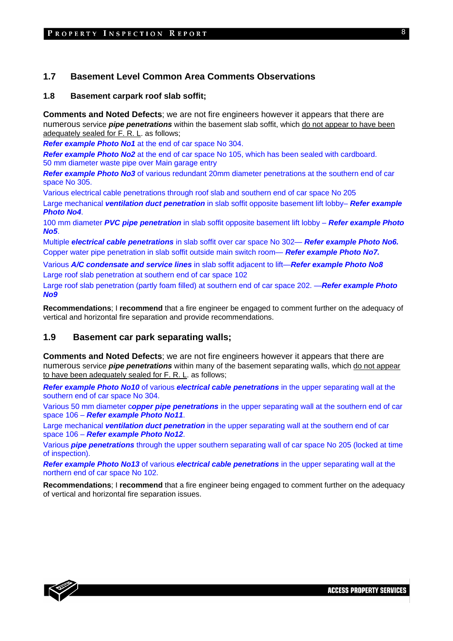### **1.7 Basement Level Common Area Comments Observations**

#### **1.8 Basement carpark roof slab soffit;**

**Comments and Noted Defects**; we are not fire engineers however it appears that there are numerous service *pipe penetrations* within the basement slab soffit, which do not appear to have been adequately sealed for F. R. L. as follows;

*Refer example Photo No1* at the end of car space No 304.

*Refer example Photo No2* at the end of car space No 105, which has been sealed with cardboard. 50 mm diameter waste pipe over Main garage entry

*Refer example Photo No3* of various redundant 20mm diameter penetrations at the southern end of car space No 305.

Various electrical cable penetrations through roof slab and southern end of car space No 205

Large mechanical *ventilation duct penetration* in slab soffit opposite basement lift lobby– *Refer example Photo No4*.

100 mm diameter *PVC pipe penetration* in slab soffit opposite basement lift lobby – *Refer example Photo No5*.

Multiple *electrical cable penetrations* in slab soffit over car space No 302— *Refer example Photo No6.*  Copper water pipe penetration in slab soffit outside main switch room— *Refer example Photo No7.*

Various *A/C condensate and service lines* in slab soffit adjacent to lift—*Refer example Photo No8* Large roof slab penetration at southern end of car space 102

Large roof slab penetration (partly foam filled) at southern end of car space 202. —*Refer example Photo No9*

**Recommendations**; I **recommend** that a fire engineer be engaged to comment further on the adequacy of vertical and horizontal fire separation and provide recommendations.

## **1.9 Basement car park separating walls;**

**Comments and Noted Defects**; we are not fire engineers however it appears that there are numerous service *pipe penetrations* within many of the basement separating walls, which do not appear to have been adequately sealed for F. R. L. as follows;

*Refer example Photo No10* of various *electrical cable penetrations* in the upper separating wall at the southern end of car space No 304.

Various 50 mm diameter c*opper pipe penetrations* in the upper separating wall at the southern end of car space 106 – *Refer example Photo No11*.

Large mechanical *ventilation duct penetration* in the upper separating wall at the southern end of car space 106 – *Refer example Photo No12*.

Various *pipe penetrations* through the upper southern separating wall of car space No 205 (locked at time of inspection).

*Refer example Photo No13* of various *electrical cable penetrations* in the upper separating wall at the northern end of car space No 102.

**Recommendations**; I **recommend** that a fire engineer being engaged to comment further on the adequacy of vertical and horizontal fire separation issues.

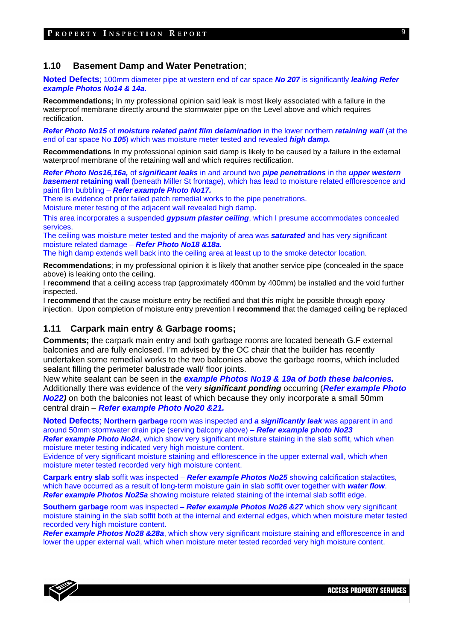#### **1.10 Basement Damp and Water Penetration**;

**Noted Defects**; 100mm diameter pipe at western end of car space *No 207* is significantly *leaking Refer example Photos No14 & 14a*.

**Recommendations;** In my professional opinion said leak is most likely associated with a failure in the waterproof membrane directly around the stormwater pipe on the Level above and which requires rectification.

*Refer Photo No15* of *moisture related paint film delamination* in the lower northern *retaining wall* (at the end of car space No *105*) which was moisture meter tested and revealed *high damp.* 

**Recommendations** In my professional opinion said damp is likely to be caused by a failure in the external waterproof membrane of the retaining wall and which requires rectification.

*Refer Photo Nos16,16a,* of *significant leaks* in and around two *pipe penetrations* in the *upper western*  **basement retaining wall** (beneath Miller St frontage), which has lead to moisture related efflorescence and paint film bubbling – *Refer example Photo No17.* 

There is evidence of prior failed patch remedial works to the pipe penetrations. Moisture meter testing of the adjacent wall revealed high damp.

This area incorporates a suspended *gypsum plaster ceiling*, which I presume accommodates concealed services.

The ceiling was moisture meter tested and the majority of area was *saturated* and has very significant moisture related damage – *Refer Photo No18 &18a.* 

The high damp extends well back into the ceiling area at least up to the smoke detector location.

**Recommendations**; in my professional opinion it is likely that another service pipe (concealed in the space above) is leaking onto the ceiling.

I **recommend** that a ceiling access trap (approximately 400mm by 400mm) be installed and the void further inspected.

I **recommend** that the cause moisture entry be rectified and that this might be possible through epoxy injection. Upon completion of moisture entry prevention I **recommend** that the damaged ceiling be replaced

#### **1.11 Carpark main entry & Garbage rooms;**

**Comments;** the carpark main entry and both garbage rooms are located beneath G.F external balconies and are fully enclosed. I'm advised by the OC chair that the builder has recently undertaken some remedial works to the two balconies above the garbage rooms, which included sealant filling the perimeter balustrade wall/ floor joints.

New white sealant can be seen in the *example Photos No19 & 19a of both these balconies.*  Additionally there was evidence of the very *significant ponding* occurring (*Refer example Photo No22)* on both the balconies not least of which because they only incorporate a small 50mm central drain – *Refer example Photo No20 &21.* 

**Noted Defects**; **Northern garbage** room was inspected and *a significantly leak* was apparent in and around 50mm stormwater drain pipe (serving balcony above) – *Refer example photo No23* 

**Refer example Photo No24**, which show very significant moisture staining in the slab soffit, which when moisture meter testing indicated very high moisture content.

Evidence of very significant moisture staining and efflorescence in the upper external wall, which when moisture meter tested recorded very high moisture content.

**Carpark entry slab** soffit was inspected – *Refer example Photos No25* showing calcification stalactites, which have occurred as a result of long-term moisture gain in slab soffit over together with *water flow*. *Refer example Photos No25a* showing moisture related staining of the internal slab soffit edge.

**Southern garbage** room was inspected – *Refer example Photos No26 &27* which show very significant moisture staining in the slab soffit both at the internal and external edges, which when moisture meter tested recorded very high moisture content.

*Refer example Photos No28 &28a*, which show very significant moisture staining and efflorescence in and lower the upper external wall, which when moisture meter tested recorded very high moisture content.



**ACCESS PROPERTY SERVICES**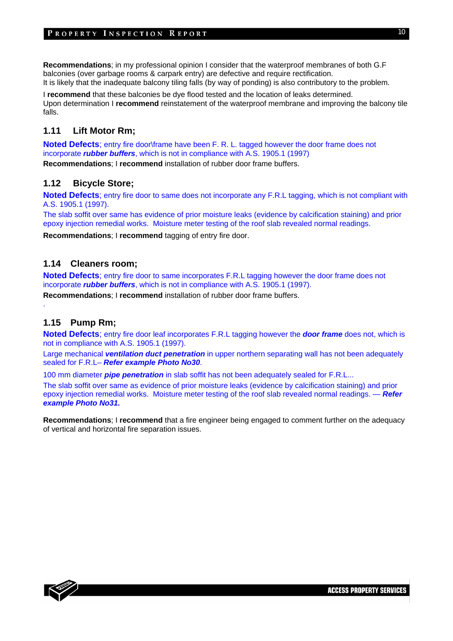#### PROPERTY INSPECTION REPORT

**Recommendations**; in my professional opinion I consider that the waterproof membranes of both G.F balconies (over garbage rooms & carpark entry) are defective and require rectification. It is likely that the inadequate balcony tiling falls (by way of ponding) is also contributory to the problem.

I **recommend** that these balconies be dye flood tested and the location of leaks determined. Upon determination I **recommend** reinstatement of the waterproof membrane and improving the balcony tile falls.

## **1.11 Lift Motor Rm;**

**Noted Defects**; entry fire door\frame have been F. R. L. tagged however the door frame does not incorporate *rubber buffers*, which is not in compliance with A.S. 1905.1 (1997)

**Recommendations**; I **recommend** installation of rubber door frame buffers.

#### **1.12 Bicycle Store;**

**Noted Defects**; entry fire door to same does not incorporate any F.R.L tagging, which is not compliant with A.S. 1905.1 (1997).

The slab soffit over same has evidence of prior moisture leaks (evidence by calcification staining) and prior epoxy injection remedial works. Moisture meter testing of the roof slab revealed normal readings.

**Recommendations**; I **recommend** tagging of entry fire door.

## **1.14 Cleaners room;**

**Noted Defects**; entry fire door to same incorporates F.R.L tagging however the door frame does not incorporate *rubber buffers*, which is not in compliance with A.S. 1905.1 (1997).

**Recommendations**; I **recommend** installation of rubber door frame buffers.

## **1.15 Pump Rm;**

.

**Noted Defects**; entry fire door leaf incorporates F.R.L tagging however the *door frame* does not, which is not in compliance with A.S. 1905.1 (1997).

Large mechanical *ventilation duct penetration* in upper northern separating wall has not been adequately sealed for F.R.L– *Refer example Photo No30*.

100 mm diameter *pipe penetration* in slab soffit has not been adequately sealed for F.R.L...

The slab soffit over same as evidence of prior moisture leaks (evidence by calcification staining) and prior epoxy injection remedial works. Moisture meter testing of the roof slab revealed normal readings. — *Refer example Photo No31.*

**Recommendations**; I **recommend** that a fire engineer being engaged to comment further on the adequacy of vertical and horizontal fire separation issues.



**ACCESS PROPERTY SERVICES**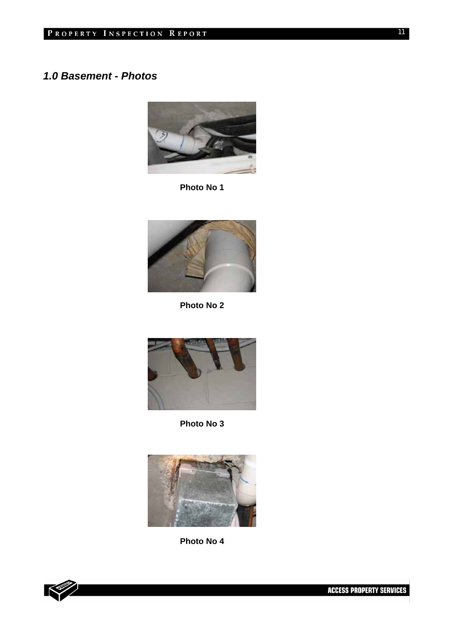## *1.0 Basement - Photos*



**Photo No 1** 



**Photo No 2** 



**Photo No 3** 



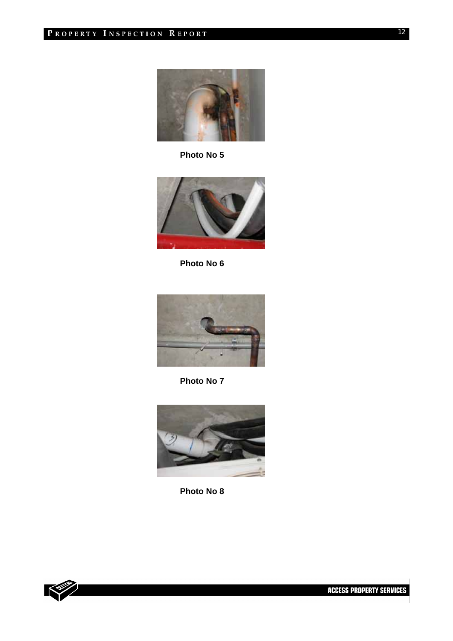

**Photo No 5** 



**Photo No 6** 



**Photo No 7** 





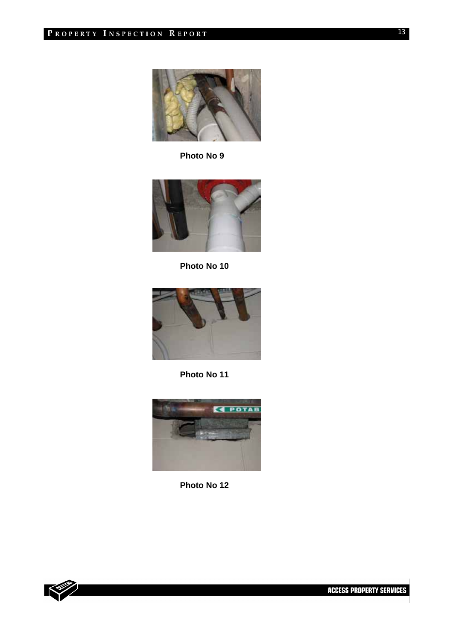

**Photo No 9** 



**Photo No 10** 



**Photo No 11** 





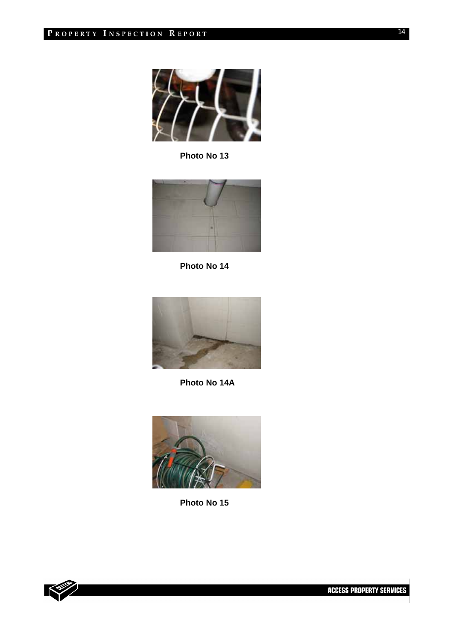

**Photo No 13** 



**Photo No 14** 



**Photo No 14A** 



**Photo No 15** 

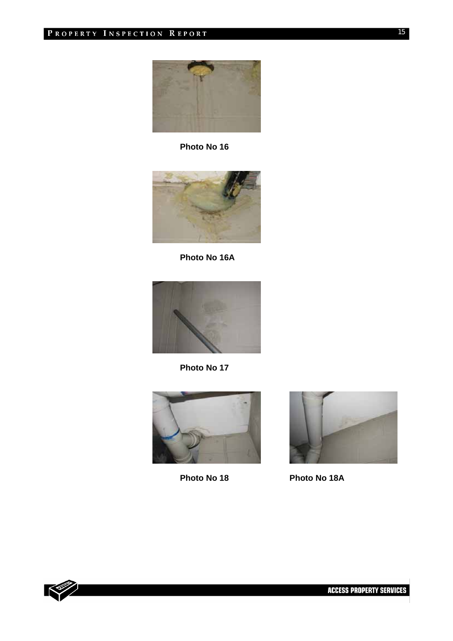

**Photo No 16** 



**Photo No 16A** 



**Photo No 17** 





**Photo No 18 Photo No 18A** 

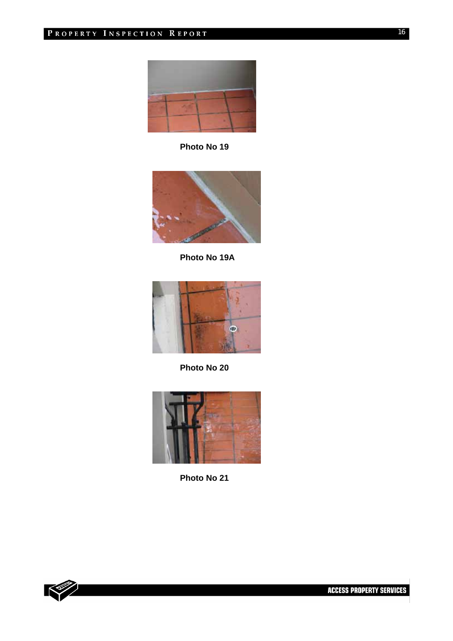

**Photo No 19** 



**Photo No 19A** 



**Photo No 20** 



**Photo No 21** 

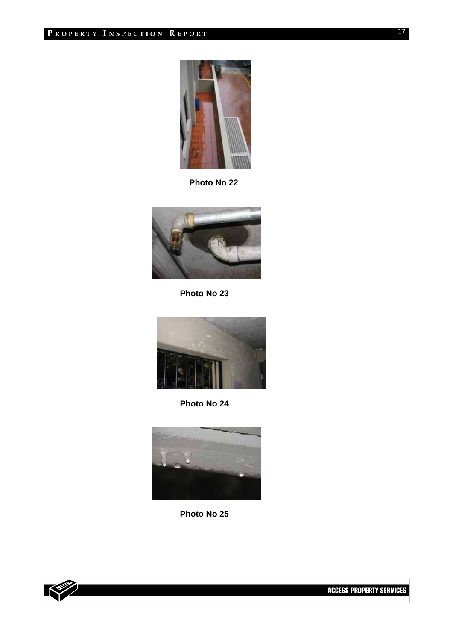

 **Photo No 22** 



**Photo No 23** 



**Photo No 24** 



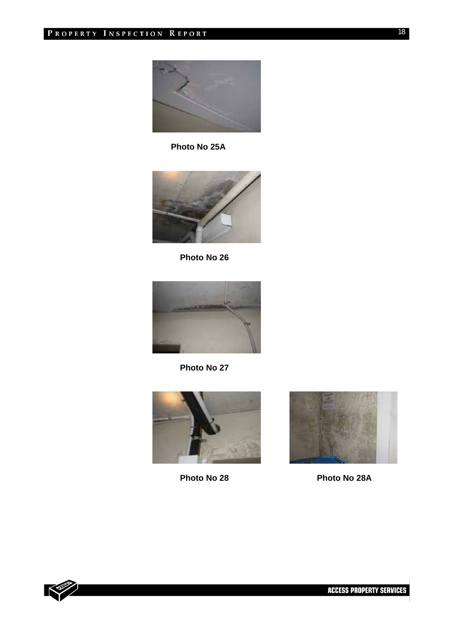

**Photo No 25A** 



**Photo No 26** 



**Photo No 27** 



**Photo No 28 Photo No 28A** 



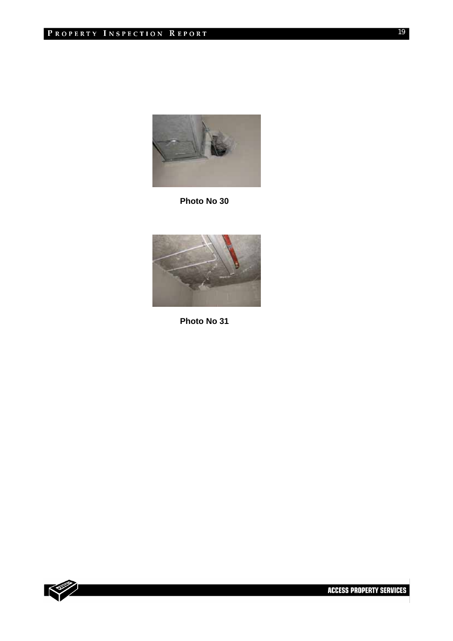

**Photo No 30** 



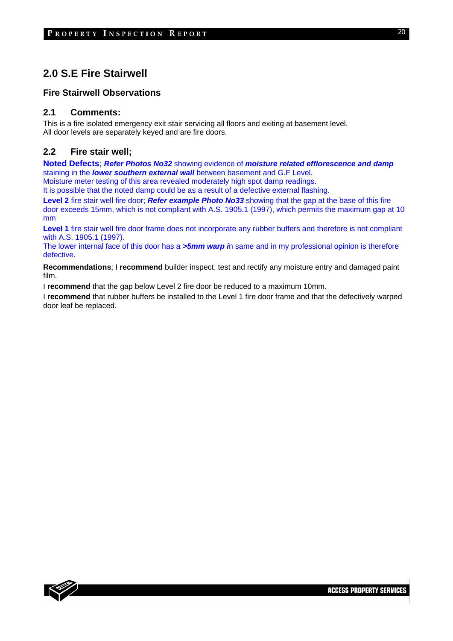## **2.0 S.E Fire Stairwell**

#### **Fire Stairwell Observations**

#### **2.1 Comments:**

This is a fire isolated emergency exit stair servicing all floors and exiting at basement level. All door levels are separately keyed and are fire doors.

#### **2.2 Fire stair well;**

**Noted Defects**; *Refer Photos No32* showing evidence of *moisture related efflorescence and damp*  staining in the *lower southern external wall* between basement and G.F Level.

Moisture meter testing of this area revealed moderately high spot damp readings.

It is possible that the noted damp could be as a result of a defective external flashing.

**Level 2** fire stair well fire door; *Refer example Photo No33* showing that the gap at the base of this fire door exceeds 15mm, which is not compliant with A.S. 1905.1 (1997), which permits the maximum gap at 10 mm

Level 1 fire stair well fire door frame does not incorporate any rubber buffers and therefore is not compliant with A.S. 1905.1 (1997).

The lower internal face of this door has a *>5mm warp i*n same and in my professional opinion is therefore defective.

**Recommendations**; I **recommend** builder inspect, test and rectify any moisture entry and damaged paint film.

I **recommend** that the gap below Level 2 fire door be reduced to a maximum 10mm.

I **recommend** that rubber buffers be installed to the Level 1 fire door frame and that the defectively warped door leaf be replaced.

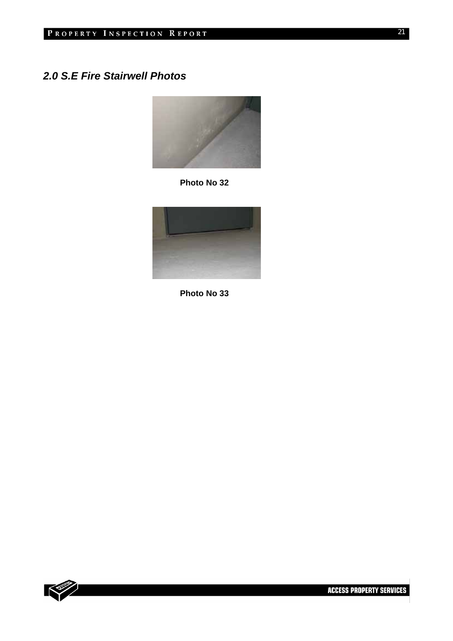## *2.0 S.E Fire Stairwell Photos*



**Photo No 32** 



**Photo No 33** 

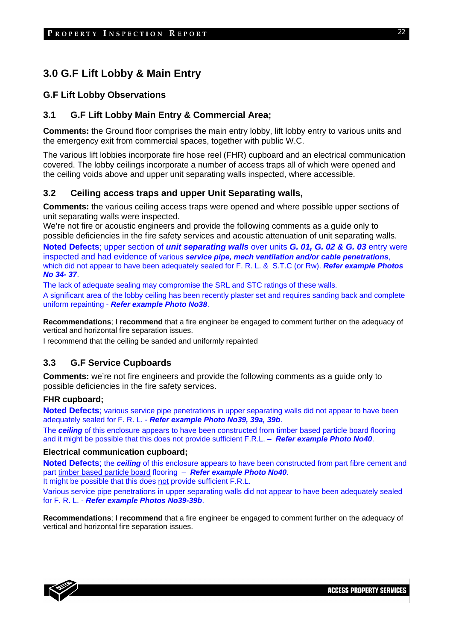## **3.0 G.F Lift Lobby & Main Entry**

## **G.F Lift Lobby Observations**

## **3.1 G.F Lift Lobby Main Entry & Commercial Area;**

**Comments:** the Ground floor comprises the main entry lobby, lift lobby entry to various units and the emergency exit from commercial spaces, together with public W.C.

The various lift lobbies incorporate fire hose reel (FHR) cupboard and an electrical communication covered. The lobby ceilings incorporate a number of access traps all of which were opened and the ceiling voids above and upper unit separating walls inspected, where accessible.

## **3.2 Ceiling access traps and upper Unit Separating walls,**

**Comments:** the various ceiling access traps were opened and where possible upper sections of unit separating walls were inspected.

We're not fire or acoustic engineers and provide the following comments as a guide only to possible deficiencies in the fire safety services and acoustic attenuation of unit separating walls.

**Noted Defects**; upper section of *unit separating walls* over units *G. 01, G. 02 & G. 03* entry were inspected and had evidence of various *service pipe, mech ventilation and/or cable penetrations*, which did not appear to have been adequately sealed for F. R. L. & S.T.C (or Rw). *Refer example Photos No 34- 37*.

The lack of adequate sealing may compromise the SRL and STC ratings of these walls. A significant area of the lobby ceiling has been recently plaster set and requires sanding back and complete uniform repainting - *Refer example Photo No38*.

**Recommendations**; I **recommend** that a fire engineer be engaged to comment further on the adequacy of vertical and horizontal fire separation issues.

I recommend that the ceiling be sanded and uniformly repainted

## **3.3 G.F Service Cupboards**

**Comments:** we're not fire engineers and provide the following comments as a guide only to possible deficiencies in the fire safety services.

#### **FHR cupboard;**

**Noted Defects**; various service pipe penetrations in upper separating walls did not appear to have been adequately sealed for F. R. L. - *Refer example Photo No39, 39a, 39b*.

The *ceiling* of this enclosure appears to have been constructed from timber based particle board flooring and it might be possible that this does not provide sufficient F.R.L. – *Refer example Photo No40*.

#### **Electrical communication cupboard;**

**Noted Defects**; the *ceiling* of this enclosure appears to have been constructed from part fibre cement and part timber based particle board flooring – *Refer example Photo No40*.

It might be possible that this does not provide sufficient F.R.L.

Various service pipe penetrations in upper separating walls did not appear to have been adequately sealed for F. R. L. - *Refer example Photos No39-39b*.

**Recommendations**; I **recommend** that a fire engineer be engaged to comment further on the adequacy of vertical and horizontal fire separation issues.

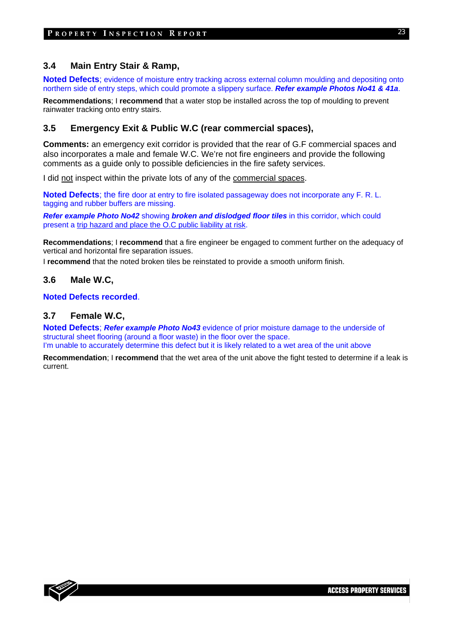## **3.4 Main Entry Stair & Ramp,**

**Noted Defects**; evidence of moisture entry tracking across external column moulding and depositing onto northern side of entry steps, which could promote a slippery surface. *Refer example Photos No41 & 41a*.

**Recommendations**; I **recommend** that a water stop be installed across the top of moulding to prevent rainwater tracking onto entry stairs.

## **3.5 Emergency Exit & Public W.C (rear commercial spaces),**

**Comments:** an emergency exit corridor is provided that the rear of G.F commercial spaces and also incorporates a male and female W.C. We're not fire engineers and provide the following comments as a guide only to possible deficiencies in the fire safety services.

I did not inspect within the private lots of any of the commercial spaces.

**Noted Defects**; the fire door at entry to fire isolated passageway does not incorporate any F. R. L. tagging and rubber buffers are missing.

*Refer example Photo No42* showing *broken and dislodged floor tiles* in this corridor, which could present a trip hazard and place the O.C public liability at risk.

**Recommendations**; I **recommend** that a fire engineer be engaged to comment further on the adequacy of vertical and horizontal fire separation issues.

I **recommend** that the noted broken tiles be reinstated to provide a smooth uniform finish.

#### **3.6 Male W.C,**

**Noted Defects recorded**.

#### **3.7 Female W.C,**

**Noted Defects**; *Refer example Photo No43* evidence of prior moisture damage to the underside of structural sheet flooring (around a floor waste) in the floor over the space. I'm unable to accurately determine this defect but it is likely related to a wet area of the unit above

**Recommendation**; I **recommend** that the wet area of the unit above the fight tested to determine if a leak is current.

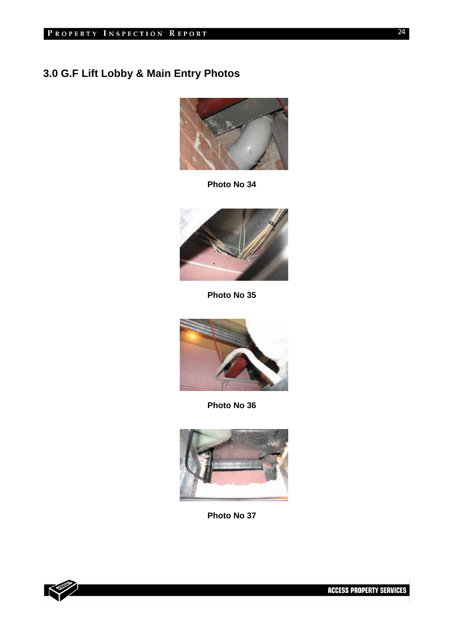# **3.0 G.F Lift Lobby & Main Entry Photos**



**Photo No 34** 



**Photo No 35** 



**Photo No 36** 



**Photo No 37** 



24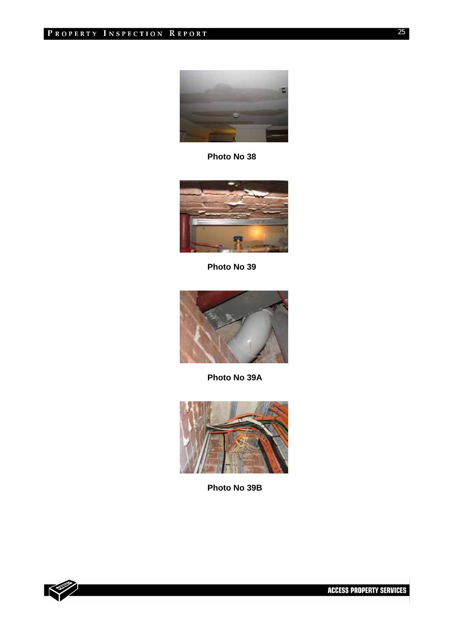

**Photo No 38** 



**Photo No 39** 



**Photo No 39A** 



**Photo No 39B** 

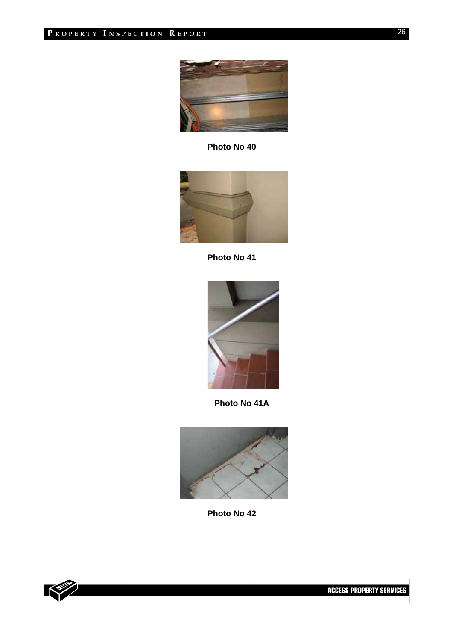

**Photo No 40** 



**Photo No 41** 



 **Photo No 41A** 



**Photo No 42** 

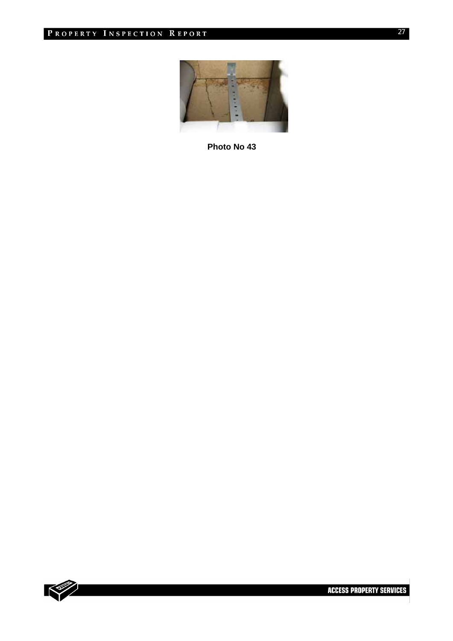

**Photo No 43** 

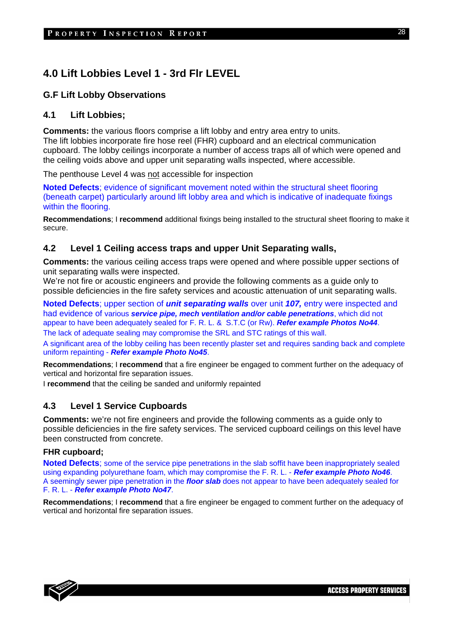## **4.0 Lift Lobbies Level 1 - 3rd Flr LEVEL**

## **G.F Lift Lobby Observations**

#### **4.1 Lift Lobbies;**

**Comments:** the various floors comprise a lift lobby and entry area entry to units. The lift lobbies incorporate fire hose reel (FHR) cupboard and an electrical communication cupboard. The lobby ceilings incorporate a number of access traps all of which were opened and the ceiling voids above and upper unit separating walls inspected, where accessible.

The penthouse Level 4 was not accessible for inspection

**Noted Defects**; evidence of significant movement noted within the structural sheet flooring (beneath carpet) particularly around lift lobby area and which is indicative of inadequate fixings within the flooring.

**Recommendations**; I **recommend** additional fixings being installed to the structural sheet flooring to make it secure.

## **4.2 Level 1 Ceiling access traps and upper Unit Separating walls,**

**Comments:** the various ceiling access traps were opened and where possible upper sections of unit separating walls were inspected.

We're not fire or acoustic engineers and provide the following comments as a guide only to possible deficiencies in the fire safety services and acoustic attenuation of unit separating walls.

**Noted Defects**; upper section of *unit separating walls* over unit *107,* entry were inspected and had evidence of various *service pipe, mech ventilation and/or cable penetrations*, which did not appear to have been adequately sealed for F. R. L. & S.T.C (or Rw). *Refer example Photos No44*. The lack of adequate sealing may compromise the SRL and STC ratings of this wall.

A significant area of the lobby ceiling has been recently plaster set and requires sanding back and complete uniform repainting - *Refer example Photo No45*.

**Recommendations**; I **recommend** that a fire engineer be engaged to comment further on the adequacy of vertical and horizontal fire separation issues.

I **recommend** that the ceiling be sanded and uniformly repainted

## **4.3 Level 1 Service Cupboards**

**Comments:** we're not fire engineers and provide the following comments as a guide only to possible deficiencies in the fire safety services. The serviced cupboard ceilings on this level have been constructed from concrete.

#### **FHR cupboard;**

**Noted Defects**; some of the service pipe penetrations in the slab soffit have been inappropriately sealed using expanding polyurethane foam, which may compromise the F. R. L. - *Refer example Photo No46*. A seemingly sewer pipe penetration in the *floor slab* does not appear to have been adequately sealed for F. R. L. - *Refer example Photo No47*.

**Recommendations**; I **recommend** that a fire engineer be engaged to comment further on the adequacy of vertical and horizontal fire separation issues.

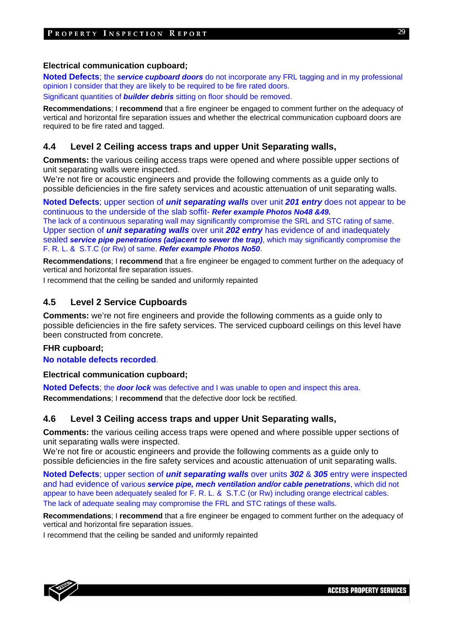#### **Electrical communication cupboard;**

**Noted Defects**; the *service cupboard doors* do not incorporate any FRL tagging and in my professional opinion I consider that they are likely to be required to be fire rated doors.

Significant quantities of *builder debris* sitting on floor should be removed.

**Recommendations**; I **recommend** that a fire engineer be engaged to comment further on the adequacy of vertical and horizontal fire separation issues and whether the electrical communication cupboard doors are required to be fire rated and tagged.

## **4.4 Level 2 Ceiling access traps and upper Unit Separating walls,**

**Comments:** the various ceiling access traps were opened and where possible upper sections of unit separating walls were inspected.

We're not fire or acoustic engineers and provide the following comments as a guide only to possible deficiencies in the fire safety services and acoustic attenuation of unit separating walls.

**Noted Defects**; upper section of *unit separating walls* over unit *201 entry* does not appear to be continuous to the underside of the slab soffit- *Refer example Photos No48 &49.*

The lack of a continuous separating wall may significantly compromise the SRL and STC rating of same. Upper section of *unit separating walls* over unit *202 entry* has evidence of and inadequately sealed *service pipe penetrations (adjacent to sewer the trap)*, which may significantly compromise the F. R. L. & S.T.C (or Rw) of same. *Refer example Photos No50*.

**Recommendations**; I **recommend** that a fire engineer be engaged to comment further on the adequacy of vertical and horizontal fire separation issues.

I recommend that the ceiling be sanded and uniformly repainted

## **4.5 Level 2 Service Cupboards**

**Comments:** we're not fire engineers and provide the following comments as a guide only to possible deficiencies in the fire safety services. The serviced cupboard ceilings on this level have been constructed from concrete.

#### **FHR cupboard;**

**No notable defects recorded**.

#### **Electrical communication cupboard;**

**Noted Defects**; the *door lock* was defective and I was unable to open and inspect this area. **Recommendations**; I **recommend** that the defective door lock be rectified.

## **4.6 Level 3 Ceiling access traps and upper Unit Separating walls,**

**Comments:** the various ceiling access traps were opened and where possible upper sections of unit separating walls were inspected.

We're not fire or acoustic engineers and provide the following comments as a guide only to possible deficiencies in the fire safety services and acoustic attenuation of unit separating walls.

**Noted Defects**; upper section of *unit separating walls* over units *302* & *305* entry were inspected and had evidence of various *service pipe, mech ventilation and/or cable penetrations*, which did not appear to have been adequately sealed for F. R. L. & S.T.C (or Rw) including orange electrical cables. The lack of adequate sealing may compromise the FRL and STC ratings of these walls.

**Recommendations**; I **recommend** that a fire engineer be engaged to comment further on the adequacy of vertical and horizontal fire separation issues.

I recommend that the ceiling be sanded and uniformly repainted

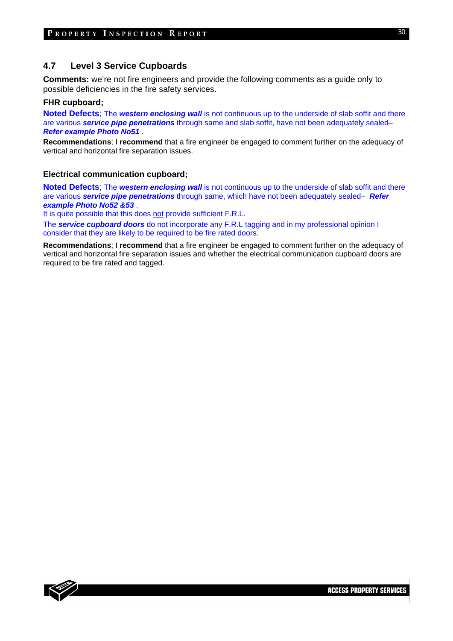### **4.7 Level 3 Service Cupboards**

**Comments:** we're not fire engineers and provide the following comments as a guide only to possible deficiencies in the fire safety services.

#### **FHR cupboard;**

**Noted Defects**; The **western enclosing wall** is not continuous up to the underside of slab soffit and there are various *service pipe penetrations* through same and slab soffit, have not been adequately sealed– *Refer example Photo No51* .

**Recommendations**; I **recommend** that a fire engineer be engaged to comment further on the adequacy of vertical and horizontal fire separation issues.

#### **Electrical communication cupboard;**

**Noted Defects**; The *western enclosing wall* is not continuous up to the underside of slab soffit and there are various *service pipe penetrations* through same, which have not been adequately sealed– *Refer example Photo No52 &53* .

It is quite possible that this does not provide sufficient F.R.L.

The *service cupboard doors* do not incorporate any F.R.L tagging and in my professional opinion I consider that they are likely to be required to be fire rated doors.

**Recommendations**; I **recommend** that a fire engineer be engaged to comment further on the adequacy of vertical and horizontal fire separation issues and whether the electrical communication cupboard doors are required to be fire rated and tagged.

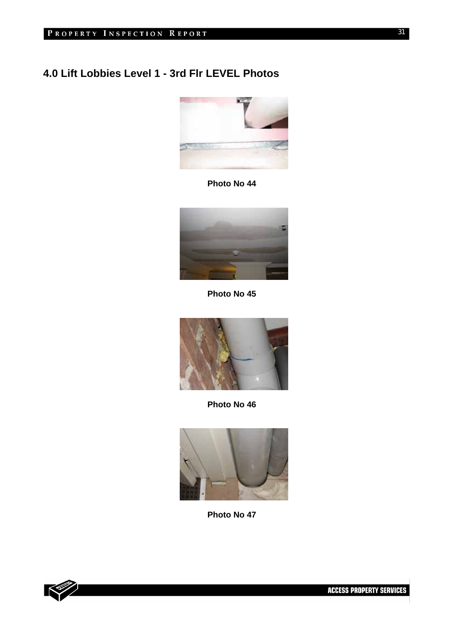# **4.0 Lift Lobbies Level 1 - 3rd Flr LEVEL Photos**



**Photo No 44** 



**Photo No 45** 



**Photo No 46** 



**Photo No 47** 

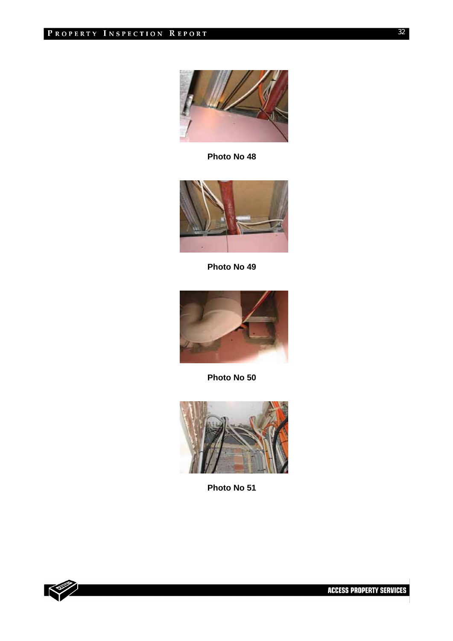

**Photo No 48** 



**Photo No 49** 



**Photo No 50** 



**Photo No 51** 

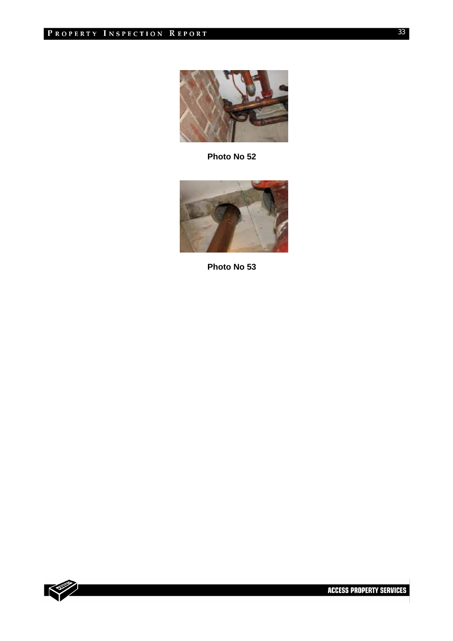

**Photo No 52** 



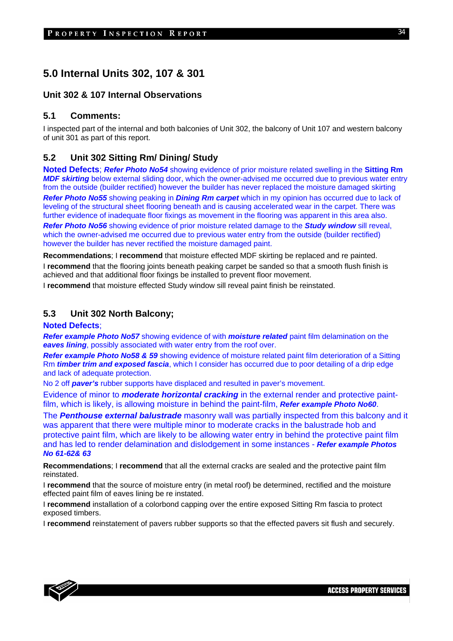## **5.0 Internal Units 302, 107 & 301**

## **Unit 302 & 107 Internal Observations**

#### **5.1 Comments:**

I inspected part of the internal and both balconies of Unit 302, the balcony of Unit 107 and western balcony of unit 301 as part of this report.

## **5.2 Unit 302 Sitting Rm/ Dining/ Study**

**Noted Defects**; *Refer Photo No54* showing evidence of prior moisture related swelling in the **Sitting Rm** *MDF skirting* below external sliding door, which the owner-advised me occurred due to previous water entry from the outside (builder rectified) however the builder has never replaced the moisture damaged skirting *Refer Photo No55* showing peaking in *Dining Rm carpet* which in my opinion has occurred due to lack of leveling of the structural sheet flooring beneath and is causing accelerated wear in the carpet. There was further evidence of inadequate floor fixings as movement in the flooring was apparent in this area also.

*Refer Photo No56* showing evidence of prior moisture related damage to the *Study window* sill reveal, which the owner-advised me occurred due to previous water entry from the outside (builder rectified) however the builder has never rectified the moisture damaged paint.

**Recommendations**; I **recommend** that moisture effected MDF skirting be replaced and re painted. I **recommend** that the flooring joints beneath peaking carpet be sanded so that a smooth flush finish is achieved and that additional floor fixings be installed to prevent floor movement.

I **recommend** that moisture effected Study window sill reveal paint finish be reinstated.

## **5.3 Unit 302 North Balcony;**

#### **Noted Defects**;

*Refer example Photo No57* showing evidence of with *moisture related* paint film delamination on the **eaves lining**, possibly associated with water entry from the roof over.

*Refer example Photo No58 & 59* showing evidence of moisture related paint film deterioration of a Sitting Rm *timber trim and exposed fascia*, which I consider has occurred due to poor detailing of a drip edge and lack of adequate protection.

No 2 off *paver's* rubber supports have displaced and resulted in paver's movement.

Evidence of minor to *moderate horizontal cracking* in the external render and protective paintfilm, which is likely, is allowing moisture in behind the paint-film, *Refer example Photo No60*.

The *Penthouse external balustrade* masonry wall was partially inspected from this balcony and it was apparent that there were multiple minor to moderate cracks in the balustrade hob and protective paint film, which are likely to be allowing water entry in behind the protective paint film and has led to render delamination and dislodgement in some instances - *Refer example Photos No 61-62& 63* 

**Recommendations**; I **recommend** that all the external cracks are sealed and the protective paint film reinstated.

I **recommend** that the source of moisture entry (in metal roof) be determined, rectified and the moisture effected paint film of eaves lining be re instated.

I **recommend** installation of a colorbond capping over the entire exposed Sitting Rm fascia to protect exposed timbers.

I **recommend** reinstatement of pavers rubber supports so that the effected pavers sit flush and securely.

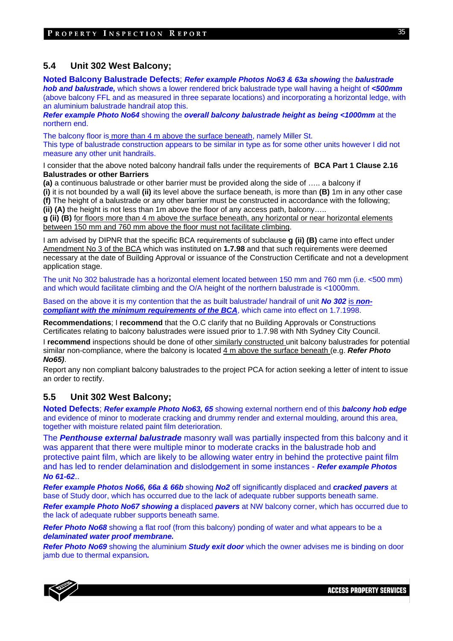## **5.4 Unit 302 West Balcony;**

**Noted Balcony Balustrade Defects**; *Refer example Photos No63 & 63a showing* the *balustrade hob and balustrade,* which shows a lower rendered brick balustrade type wall having a height of *<500mm* (above balcony FFL and as measured in three separate locations) and incorporating a horizontal ledge, with an aluminium balustrade handrail atop this.

*Refer example Photo No64* showing the *overall balcony balustrade height as being <1000mm* at the northern end.

The balcony floor is more than 4 m above the surface beneath, namely Miller St. This type of balustrade construction appears to be similar in type as for some other units however I did not measure any other unit handrails.

I consider that the above noted balcony handrail falls under the requirements of **BCA Part 1 Clause 2.16 Balustrades or other Barriers**

**(a)** a continuous balustrade or other barrier must be provided along the side of ….. a balcony if

**(i)** it is not bounded by a wall **(ii)** its level above the surface beneath, is more than **(B)** 1m in any other case **(f)** The height of a balustrade or any other barrier must be constructed in accordance with the following; **(ii) (A)** the height is not less than 1m above the floor of any access path, balcony…..

**g (ii) (B)** for floors more than 4 m above the surface beneath, any horizontal or near horizontal elements between 150 mm and 760 mm above the floor must not facilitate climbing.

I am advised by DIPNR that the specific BCA requirements of subclause **g (ii) (B)** came into effect under Amendment No 3 of the BCA which was instituted on **1.7.98** and that such requirements were deemed necessary at the date of Building Approval or issuance of the Construction Certificate and not a development application stage.

The unit No 302 balustrade has a horizontal element located between 150 mm and 760 mm (i.e. <500 mm) and which would facilitate climbing and the O/A height of the northern balustrade is <1000mm.

Based on the above it is my contention that the as built balustrade/ handrail of unit *No 302* is *noncompliant with the minimum requirements of the BCA*, which came into effect on 1.7.1998.

**Recommendations**; I **recommend** that the O.C clarify that no Building Approvals or Constructions Certificates relating to balcony balustrades were issued prior to 1.7.98 with Nth Sydney City Council.

I **recommend** inspections should be done of other similarly constructed unit balcony balustrades for potential similar non-compliance, where the balcony is located 4 m above the surface beneath (e.g. *Refer Photo No65)*.

Report any non compliant balcony balustrades to the project PCA for action seeking a letter of intent to issue an order to rectify.

## **5.5 Unit 302 West Balcony;**

**Noted Defects**; *Refer example Photo No63, 65* showing external northern end of this *balcony hob edge* and evidence of minor to moderate cracking and drummy render and external moulding, around this area, together with moisture related paint film deterioration.

The *Penthouse external balustrade* masonry wall was partially inspected from this balcony and it was apparent that there were multiple minor to moderate cracks in the balustrade hob and protective paint film, which are likely to be allowing water entry in behind the protective paint film and has led to render delamination and dislodgement in some instances - *Refer example Photos No 61-62*..

*Refer example Photos No66, 66a & 66b* showing *No2* off significantly displaced and *cracked pavers* at base of Study door, which has occurred due to the lack of adequate rubber supports beneath same.

*Refer example Photo No67 showing a* displaced *pavers* at NW balcony corner, which has occurred due to the lack of adequate rubber supports beneath same.

**Refer Photo No68** showing a flat roof (from this balcony) ponding of water and what appears to be a *delaminated water proof membrane.*

*Refer Photo No69* showing the aluminium *Study exit door* which the owner advises me is binding on door jamb due to thermal expansion*.*

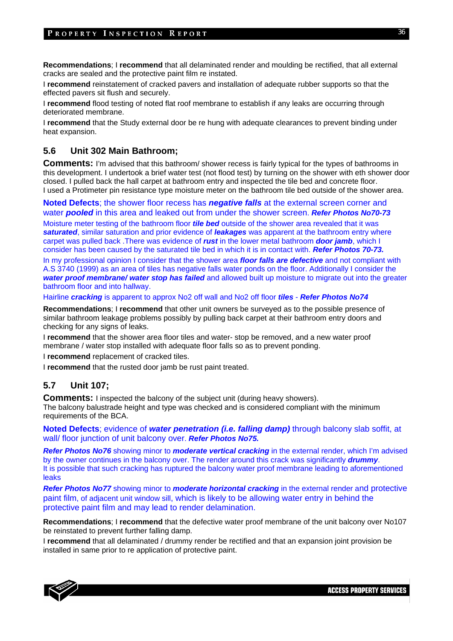**Recommendations**; I **recommend** that all delaminated render and moulding be rectified, that all external cracks are sealed and the protective paint film re instated.

I **recommend** reinstatement of cracked pavers and installation of adequate rubber supports so that the effected pavers sit flush and securely.

I **recommend** flood testing of noted flat roof membrane to establish if any leaks are occurring through deteriorated membrane.

I **recommend** that the Study external door be re hung with adequate clearances to prevent binding under heat expansion.

## **5.6 Unit 302 Main Bathroom;**

**Comments:** I'm advised that this bathroom/ shower recess is fairly typical for the types of bathrooms in this development. I undertook a brief water test (not flood test) by turning on the shower with eth shower door closed. I pulled back the hall carpet at bathroom entry and inspected the tile bed and concrete floor. I used a Protimeter pin resistance type moisture meter on the bathroom tile bed outside of the shower area.

**Noted Defects**; the shower floor recess has *negative falls* at the external screen corner and water *pooled* in this area and leaked out from under the shower screen. *Refer Photos No70-73* 

Moisture meter testing of the bathroom floor *tile bed* outside of the shower area revealed that it was *saturated*, similar saturation and prior evidence of *leakages* was apparent at the bathroom entry where carpet was pulled back .There was evidence of *rust* in the lower metal bathroom *door jamb*, which I consider has been caused by the saturated tile bed in which it is in contact with. *Refer Photos 70-73.* 

In my professional opinion I consider that the shower area *floor falls are defective* and not compliant with A.S 3740 (1999) as an area of tiles has negative falls water ponds on the floor. Additionally I consider the *water proof membrane/ water stop has failed* and allowed built up moisture to migrate out into the greater bathroom floor and into hallway.

Hairline *cracking* is apparent to approx No2 off wall and No2 off floor *tiles* - *Refer Photos No74* 

**Recommendations**; I **recommend** that other unit owners be surveyed as to the possible presence of similar bathroom leakage problems possibly by pulling back carpet at their bathroom entry doors and checking for any signs of leaks.

I **recommend** that the shower area floor tiles and water- stop be removed, and a new water proof membrane / water stop installed with adequate floor falls so as to prevent ponding.

I **recommend** replacement of cracked tiles.

I **recommend** that the rusted door jamb be rust paint treated.

#### **5.7 Unit 107;**

**Comments:** I inspected the balcony of the subject unit (during heavy showers). The balcony balustrade height and type was checked and is considered compliant with the minimum requirements of the BCA.

**Noted Defects**; evidence of *water penetration (i.e. falling damp)* through balcony slab soffit, at wall/ floor junction of unit balcony over. *Refer Photos No75.* 

*Refer Photos No76* showing minor to *moderate vertical cracking* in the external render, which I'm advised by the owner continues in the balcony over. The render around this crack was significantly *drummy*. It is possible that such cracking has ruptured the balcony water proof membrane leading to aforementioned leaks

*Refer Photos No77* showing minor to *moderate horizontal cracking* in the external render and protective paint film, of adjacent unit window sill, which is likely to be allowing water entry in behind the protective paint film and may lead to render delamination.

**Recommendations**; I **recommend** that the defective water proof membrane of the unit balcony over No107 be reinstated to prevent further falling damp.

I **recommend** that all delaminated / drummy render be rectified and that an expansion joint provision be installed in same prior to re application of protective paint.



36

**ACCESS PROPERTY SERVICES**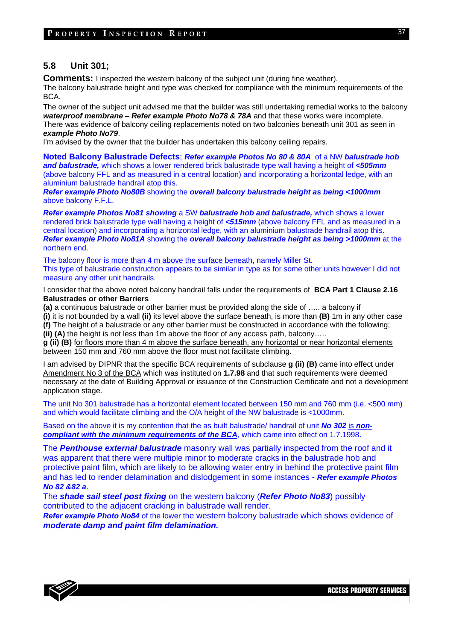## **5.8 Unit 301;**

**Comments:** I inspected the western balcony of the subject unit (during fine weather).

The balcony balustrade height and type was checked for compliance with the minimum requirements of the BCA.

The owner of the subject unit advised me that the builder was still undertaking remedial works to the balcony *waterproof membrane* – *Refer example Photo No78 & 78A* and that these works were incomplete. There was evidence of balcony ceiling replacements noted on two balconies beneath unit 301 as seen in *example Photo No79*.

I'm advised by the owner that the builder has undertaken this balcony ceiling repairs.

**Noted Balcony Balustrade Defects**; *Refer example Photos No 80 & 80A* of a NW *balustrade hob and balustrade,* which shows a lower rendered brick balustrade type wall having a height of *<505mm* (above balcony FFL and as measured in a central location) and incorporating a horizontal ledge, with an aluminium balustrade handrail atop this.

*Refer example Photo No80B* showing the *overall balcony balustrade height as being <1000mm*  above balcony F.F.L.

*Refer example Photos No81 showing* a SW *balustrade hob and balustrade,* which shows a lower rendered brick balustrade type wall having a height of *<515mm* (above balcony FFL and as measured in a central location) and incorporating a horizontal ledge, with an aluminium balustrade handrail atop this. *Refer example Photo No81A* showing the *overall balcony balustrade height as being >1000mm* at the northern end.

The balcony floor is more than 4 m above the surface beneath, namely Miller St. This type of balustrade construction appears to be similar in type as for some other units however I did not measure any other unit handrails.

I consider that the above noted balcony handrail falls under the requirements of **BCA Part 1 Clause 2.16 Balustrades or other Barriers**

**(a)** a continuous balustrade or other barrier must be provided along the side of ….. a balcony if

**(i)** it is not bounded by a wall **(ii)** its level above the surface beneath, is more than **(B)** 1m in any other case **(f)** The height of a balustrade or any other barrier must be constructed in accordance with the following; **(ii) (A)** the height is not less than 1m above the floor of any access path, balcony…..

**g (ii) (B)** for floors more than 4 m above the surface beneath, any horizontal or near horizontal elements between 150 mm and 760 mm above the floor must not facilitate climbing.

I am advised by DIPNR that the specific BCA requirements of subclause **g (ii) (B)** came into effect under Amendment No 3 of the BCA which was instituted on **1.7.98** and that such requirements were deemed necessary at the date of Building Approval or issuance of the Construction Certificate and not a development application stage.

The unit No 301 balustrade has a horizontal element located between 150 mm and 760 mm (i.e. <500 mm) and which would facilitate climbing and the O/A height of the NW balustrade is <1000mm.

Based on the above it is my contention that the as built balustrade/ handrail of unit *No 302* is *noncompliant with the minimum requirements of the BCA*, which came into effect on 1.7.1998.

The *Penthouse external balustrade* masonry wall was partially inspected from the roof and it was apparent that there were multiple minor to moderate cracks in the balustrade hob and protective paint film, which are likely to be allowing water entry in behind the protective paint film and has led to render delamination and dislodgement in some instances - *Refer example Photos No 82 &82 a*.

The *shade sail steel post fixing* on the western balcony (*Refer Photo No83*) possibly contributed to the adjacent cracking in balustrade wall render.

*Refer example Photo No84* of the lower the western balcony balustrade which shows evidence of *moderate damp and paint film delamination.*



**ACCESS PROPERTY SERVICES**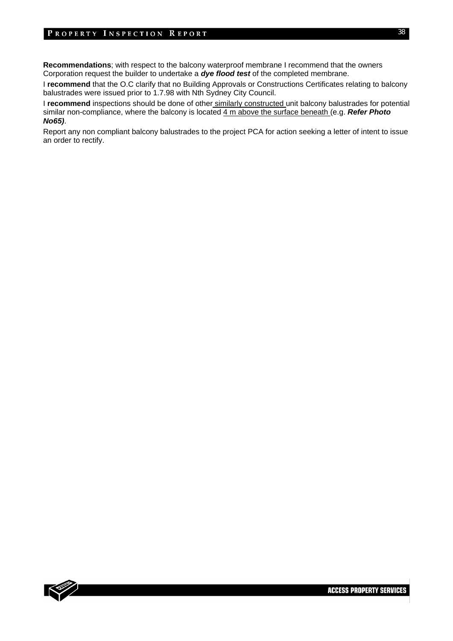#### PROPERTY INSPECTION REPORT

**Recommendations**; with respect to the balcony waterproof membrane I recommend that the owners Corporation request the builder to undertake a *dye flood test* of the completed membrane.

I **recommend** that the O.C clarify that no Building Approvals or Constructions Certificates relating to balcony balustrades were issued prior to 1.7.98 with Nth Sydney City Council.

I **recommend** inspections should be done of other similarly constructed unit balcony balustrades for potential similar non-compliance, where the balcony is located 4 m above the surface beneath (e.g. *Refer Photo No65)*.

Report any non compliant balcony balustrades to the project PCA for action seeking a letter of intent to issue an order to rectify.

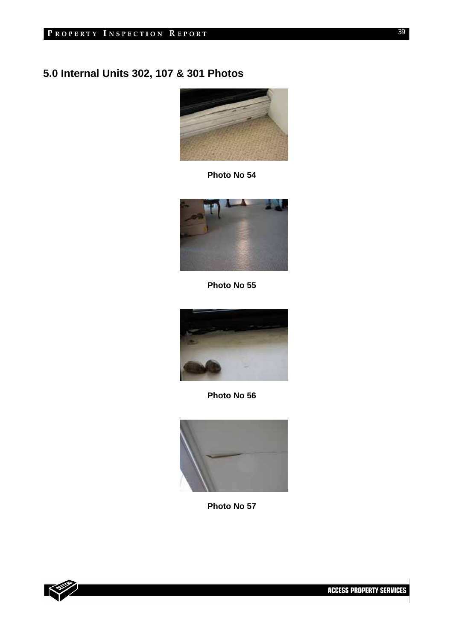# **5.0 Internal Units 302, 107 & 301 Photos**



**Photo No 54** 



**Photo No 55** 



**Photo No 56** 



**Photo No 57** 

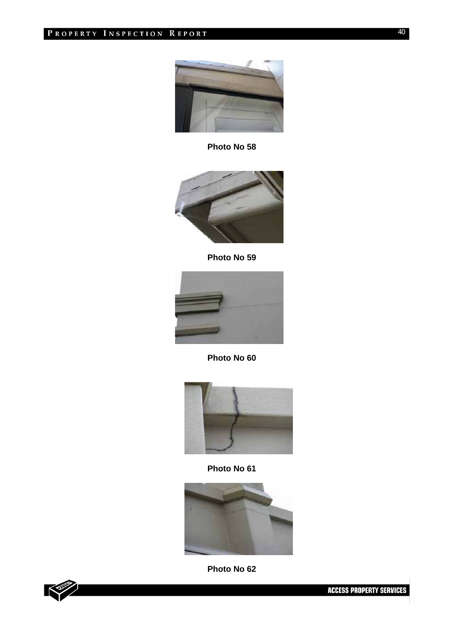

**Photo No 58** 



**Photo No 59** 



**Photo No 60** 



**Photo No 61** 



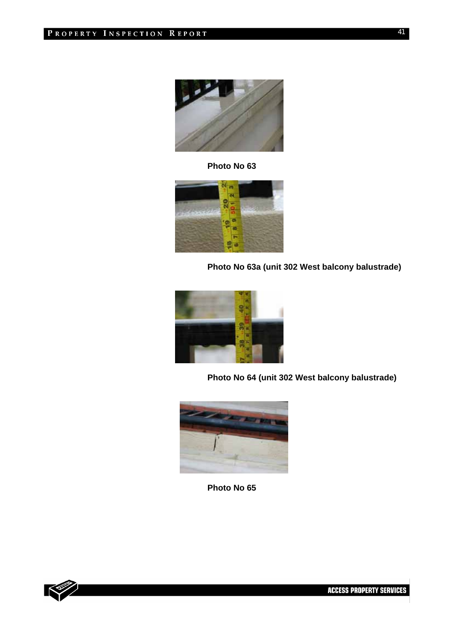

**Photo No 63**



**Photo No 63a (unit 302 West balcony balustrade)** 



**Photo No 64 (unit 302 West balcony balustrade)** 



**Photo No 65** 

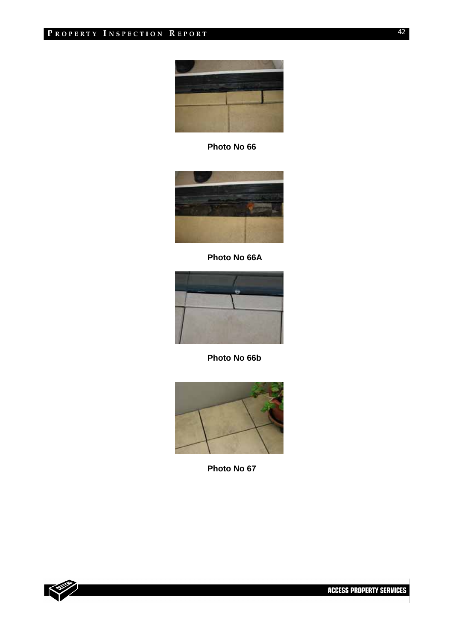

**Photo No 66** 



**Photo No 66A** 



**Photo No 66b** 



**Photo No 67** 

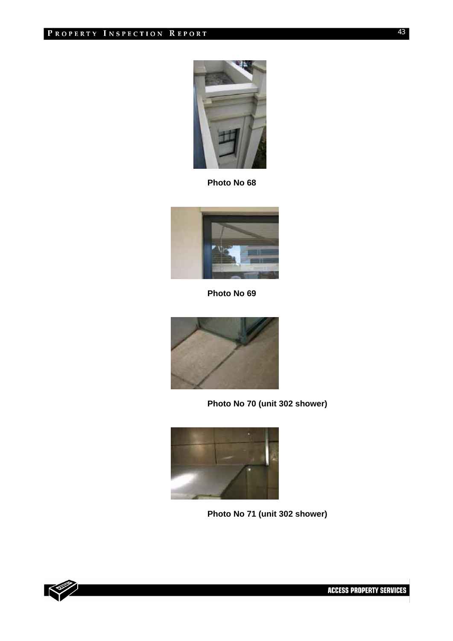

**Photo No 68** 



**Photo No 69** 



**Photo No 70 (unit 302 shower)** 



**Photo No 71 (unit 302 shower)** 

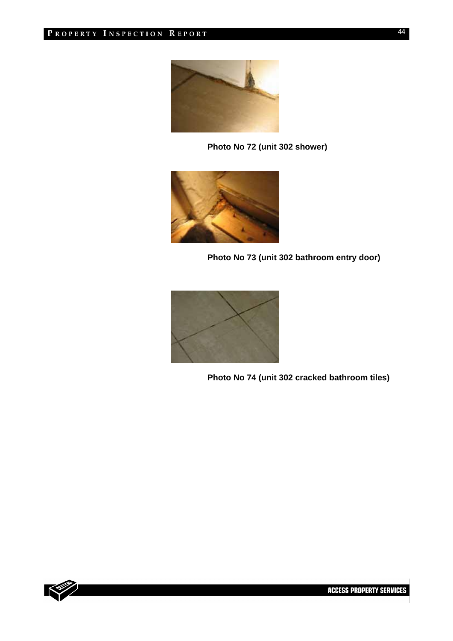

**Photo No 72 (unit 302 shower)** 



**Photo No 73 (unit 302 bathroom entry door)** 



**Photo No 74 (unit 302 cracked bathroom tiles)** 

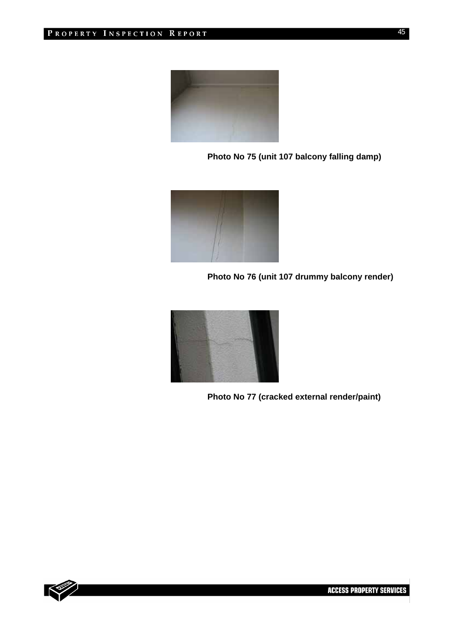

**Photo No 75 (unit 107 balcony falling damp)** 



**Photo No 76 (unit 107 drummy balcony render)** 



**Photo No 77 (cracked external render/paint)** 

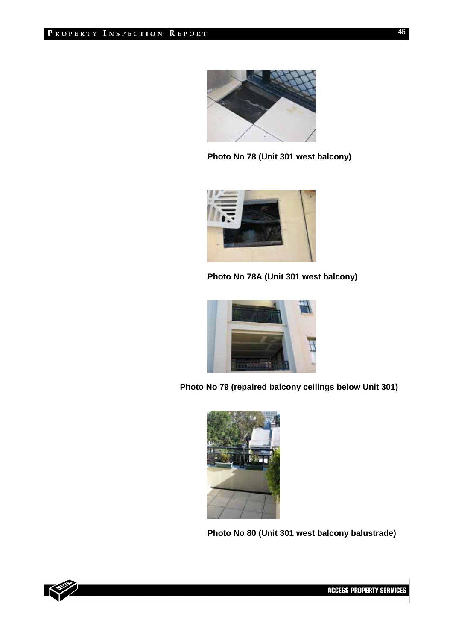

**Photo No 78 (Unit 301 west balcony)** 



**Photo No 78A (Unit 301 west balcony)** 



**Photo No 79 (repaired balcony ceilings below Unit 301)** 



**Photo No 80 (Unit 301 west balcony balustrade)** 

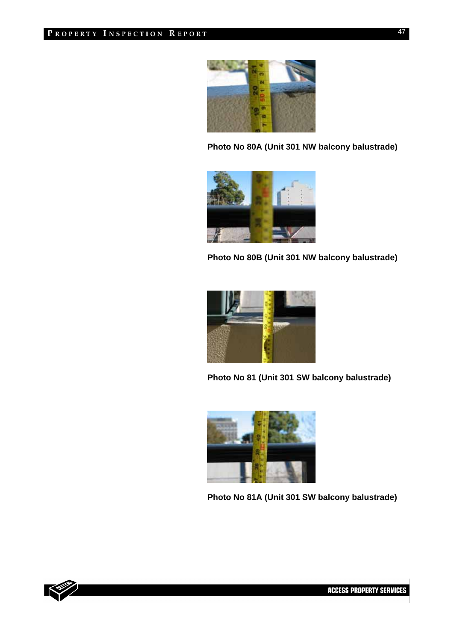

**Photo No 80A (Unit 301 NW balcony balustrade)** 



**Photo No 80B (Unit 301 NW balcony balustrade)** 



**Photo No 81 (Unit 301 SW balcony balustrade)** 



**Photo No 81A (Unit 301 SW balcony balustrade)** 



**ACCESS PROPERTY SERVICES**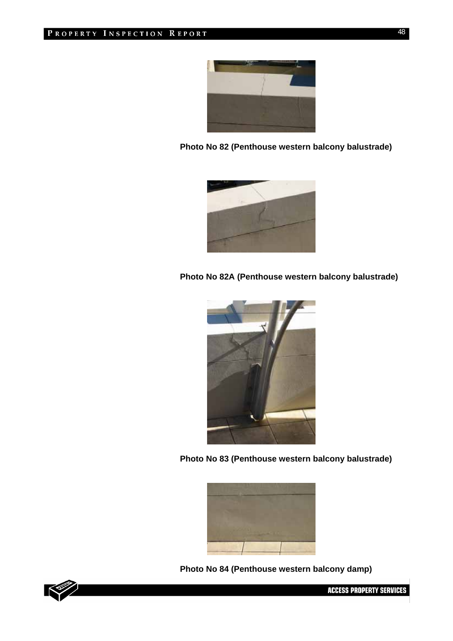

**Photo No 82 (Penthouse western balcony balustrade)** 



**Photo No 82A (Penthouse western balcony balustrade)** 



**Photo No 83 (Penthouse western balcony balustrade)** 



**Photo No 84 (Penthouse western balcony damp)** 



**ACCESS PROPERTY SERVICES**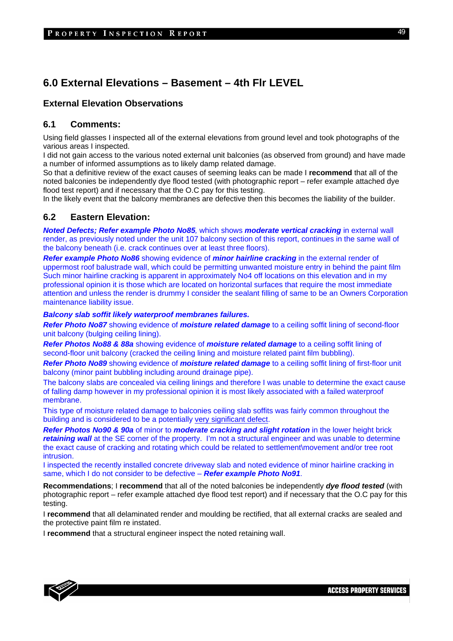## **6.0 External Elevations – Basement – 4th Flr LEVEL**

## **External Elevation Observations**

### **6.1 Comments:**

Using field glasses I inspected all of the external elevations from ground level and took photographs of the various areas I inspected.

I did not gain access to the various noted external unit balconies (as observed from ground) and have made a number of informed assumptions as to likely damp related damage.

So that a definitive review of the exact causes of seeming leaks can be made I **recommend** that all of the noted balconies be independently dye flood tested (with photographic report – refer example attached dye flood test report) and if necessary that the O.C pay for this testing.

In the likely event that the balcony membranes are defective then this becomes the liability of the builder.

#### **6.2 Eastern Elevation:**

*Noted Defects; Refer example Photo No85,* which shows *moderate vertical cracking* in external wall render, as previously noted under the unit 107 balcony section of this report, continues in the same wall of the balcony beneath (i.e. crack continues over at least three floors).

*Refer example Photo No86* showing evidence of *minor hairline cracking* in the external render of uppermost roof balustrade wall, which could be permitting unwanted moisture entry in behind the paint film Such minor hairline cracking is apparent in approximately No4 off locations on this elevation and in my professional opinion it is those which are located on horizontal surfaces that require the most immediate attention and unless the render is drummy I consider the sealant filling of same to be an Owners Corporation maintenance liability issue.

#### *Balcony slab soffit likely waterproof membranes failures.*

*Refer Photo No87* showing evidence of *moisture related damage* to a ceiling soffit lining of second-floor unit balcony (bulging ceiling lining).

*Refer Photos No88 & 88a* showing evidence of *moisture related damage* to a ceiling soffit lining of second-floor unit balcony (cracked the ceiling lining and moisture related paint film bubbling).

*Refer Photo No89* showing evidence of *moisture related damage* to a ceiling soffit lining of first-floor unit balcony (minor paint bubbling including around drainage pipe).

The balcony slabs are concealed via ceiling linings and therefore I was unable to determine the exact cause of falling damp however in my professional opinion it is most likely associated with a failed waterproof membrane.

This type of moisture related damage to balconies ceiling slab soffits was fairly common throughout the building and is considered to be a potentially very significant defect.

*Refer Photos No90 & 90a* of minor to *moderate cracking and slight rotation* in the lower height brick *retaining wall* at the SE corner of the property. I'm not a structural engineer and was unable to determine the exact cause of cracking and rotating which could be related to settlement\movement and/or tree root intrusion.

I inspected the recently installed concrete driveway slab and noted evidence of minor hairline cracking in same, which I do not consider to be defective – *Refer example Photo No91*.

**Recommendations**; I **recommend** that all of the noted balconies be independently *dye flood tested* (with photographic report – refer example attached dye flood test report) and if necessary that the O.C pay for this testing.

I **recommend** that all delaminated render and moulding be rectified, that all external cracks are sealed and the protective paint film re instated.

I **recommend** that a structural engineer inspect the noted retaining wall.

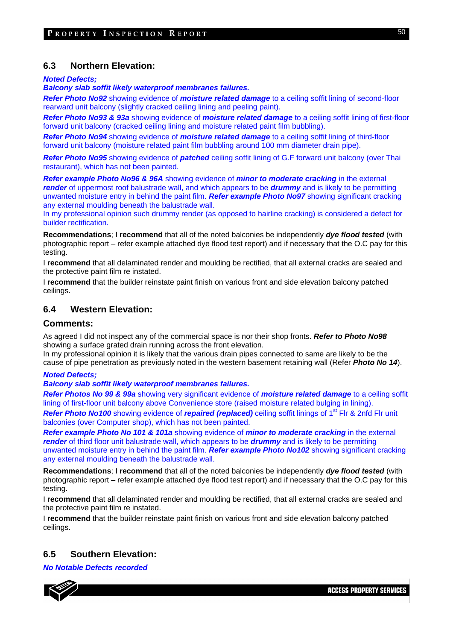#### **6.3 Northern Elevation:**

*Noted Defects;* 

*Balcony slab soffit likely waterproof membranes failures.* 

*Refer Photo No92* showing evidence of *moisture related damage* to a ceiling soffit lining of second-floor rearward unit balcony (slightly cracked ceiling lining and peeling paint).

*Refer Photo No93 & 93a* showing evidence of *moisture related damage* to a ceiling soffit lining of first-floor forward unit balcony (cracked ceiling lining and moisture related paint film bubbling).

*Refer Photo No94* showing evidence of *moisture related damage* to a ceiling soffit lining of third-floor forward unit balcony (moisture related paint film bubbling around 100 mm diameter drain pipe).

*Refer Photo No95* showing evidence of *patched* ceiling soffit lining of G.F forward unit balcony (over Thai restaurant), which has not been painted.

*Refer example Photo No96 & 96A* showing evidence of *minor to moderate cracking* in the external *render* of uppermost roof balustrade wall, and which appears to be *drummy* and is likely to be permitting unwanted moisture entry in behind the paint film. *Refer example Photo No97* showing significant cracking any external moulding beneath the balustrade wall.

In my professional opinion such drummy render (as opposed to hairline cracking) is considered a defect for builder rectification.

**Recommendations**; I **recommend** that all of the noted balconies be independently *dye flood tested* (with photographic report – refer example attached dye flood test report) and if necessary that the O.C pay for this testing.

I **recommend** that all delaminated render and moulding be rectified, that all external cracks are sealed and the protective paint film re instated.

I **recommend** that the builder reinstate paint finish on various front and side elevation balcony patched ceilings.

#### **6.4 Western Elevation:**

#### **Comments:**

As agreed I did not inspect any of the commercial space is nor their shop fronts. *Refer to Photo No98*  showing a surface grated drain running across the front elevation.

In my professional opinion it is likely that the various drain pipes connected to same are likely to be the cause of pipe penetration as previously noted in the western basement retaining wall (Refer *Photo No 14*).

#### *Noted Defects;*

*Balcony slab soffit likely waterproof membranes failures.* 

*Refer Photos No 99 & 99a* showing very significant evidence of *moisture related damage* to a ceiling soffit lining of first-floor unit balcony above Convenience store (raised moisture related bulging in lining).

*Refer Photo No100* showing evidence of *repaired (replaced)* ceiling soffit linings of 1<sup>st</sup> Flr & 2nfd Flr unit balconies (over Computer shop), which has not been painted.

*Refer example Photo No 101 & 101a* showing evidence of *minor to moderate cracking* in the external *render* of third floor unit balustrade wall, which appears to be *drummy* and is likely to be permitting unwanted moisture entry in behind the paint film. *Refer example Photo No102* showing significant cracking any external moulding beneath the balustrade wall.

**Recommendations**; I **recommend** that all of the noted balconies be independently *dye flood tested* (with photographic report – refer example attached dye flood test report) and if necessary that the O.C pay for this testing.

I **recommend** that all delaminated render and moulding be rectified, that all external cracks are sealed and the protective paint film re instated.

I **recommend** that the builder reinstate paint finish on various front and side elevation balcony patched ceilings.

### **6.5 Southern Elevation:**

*No Notable Defects recorded* 

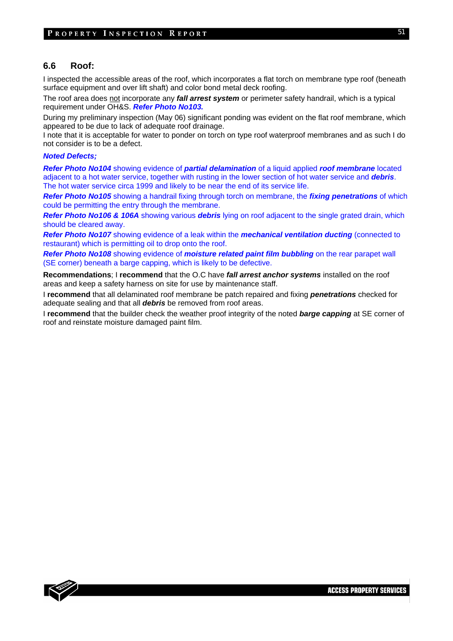#### **6.6 Roof:**

I inspected the accessible areas of the roof, which incorporates a flat torch on membrane type roof (beneath surface equipment and over lift shaft) and color bond metal deck roofing.

The roof area does not incorporate any *fall arrest system* or perimeter safety handrail, which is a typical requirement under OH&S. *Refer Photo No103.*

During my preliminary inspection (May 06) significant ponding was evident on the flat roof membrane, which appeared to be due to lack of adequate roof drainage.

I note that it is acceptable for water to ponder on torch on type roof waterproof membranes and as such I do not consider is to be a defect.

#### *Noted Defects;*

*Refer Photo No104* showing evidence of *partial delamination* of a liquid applied *roof membrane* located adjacent to a hot water service, together with rusting in the lower section of hot water service and *debris*. The hot water service circa 1999 and likely to be near the end of its service life.

*Refer Photo No105* showing a handrail fixing through torch on membrane, the *fixing penetrations* of which could be permitting the entry through the membrane.

*Refer Photo No106 & 106A* showing various *debris* lying on roof adjacent to the single grated drain, which should be cleared away.

*Refer Photo No107* showing evidence of a leak within the *mechanical ventilation ducting* (connected to restaurant) which is permitting oil to drop onto the roof.

*Refer Photo No108* showing evidence of *moisture related paint film bubbling* on the rear parapet wall (SE corner) beneath a barge capping, which is likely to be defective.

**Recommendations**; I **recommend** that the O.C have *fall arrest anchor systems* installed on the roof areas and keep a safety harness on site for use by maintenance staff.

I **recommend** that all delaminated roof membrane be patch repaired and fixing *penetrations* checked for adequate sealing and that all *debris* be removed from roof areas.

I **recommend** that the builder check the weather proof integrity of the noted *barge capping* at SE corner of roof and reinstate moisture damaged paint film.

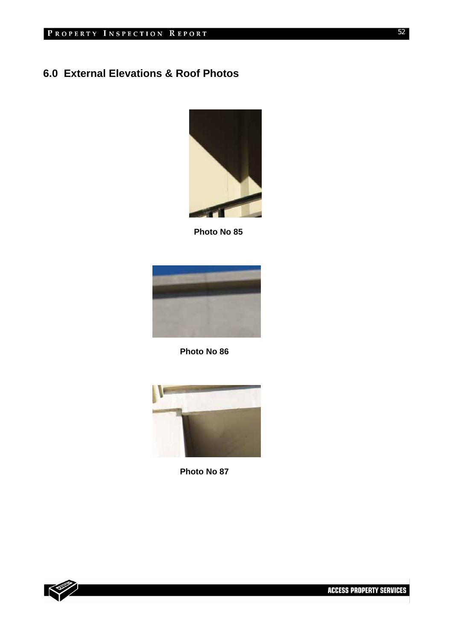# **6.0 External Elevations & Roof Photos**



 **Photo No 85** 





**Photo No 87** 

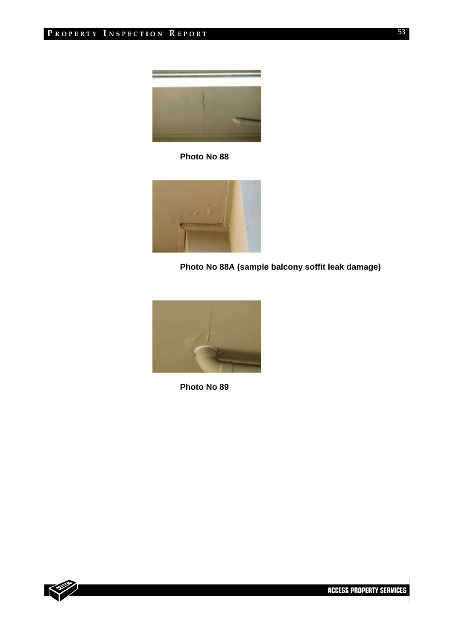

**Photo No 88** 



**Photo No 88A (sample balcony soffit leak damage)** 



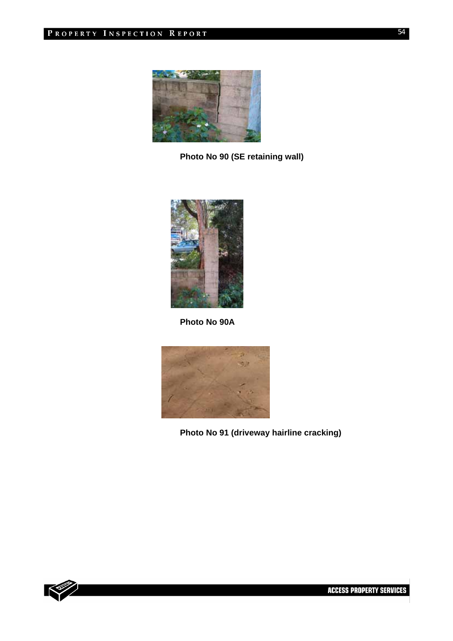

**Photo No 90 (SE retaining wall)** 



**Photo No 90A** 



**Photo No 91 (driveway hairline cracking)** 

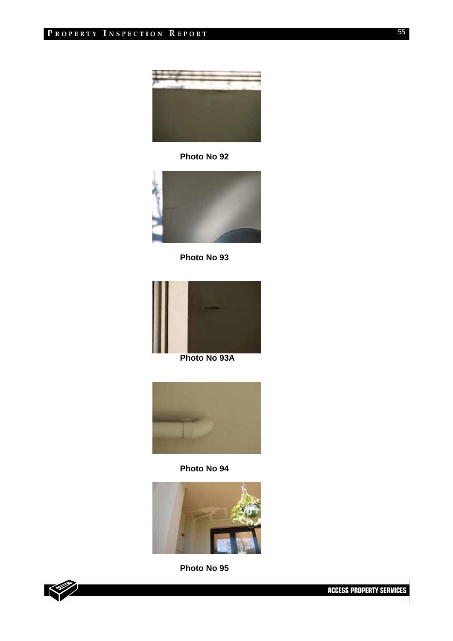

**Photo No 92** 



**Photo No 93** 



**Photo No 93A** 



**Photo No 94** 



**Photo No 95** 

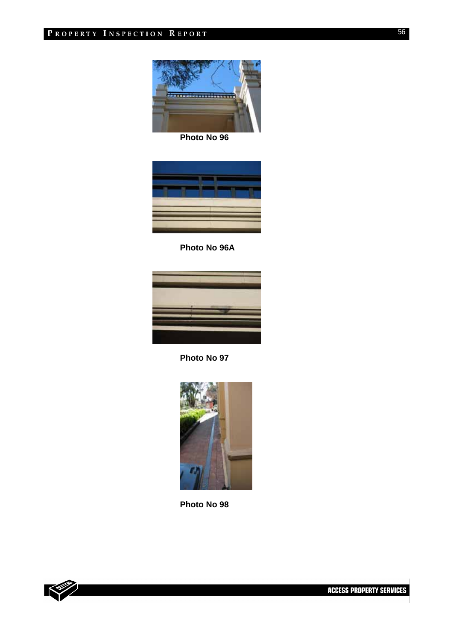

**Photo No 96** 



**Photo No 96A** 



**Photo No 97** 



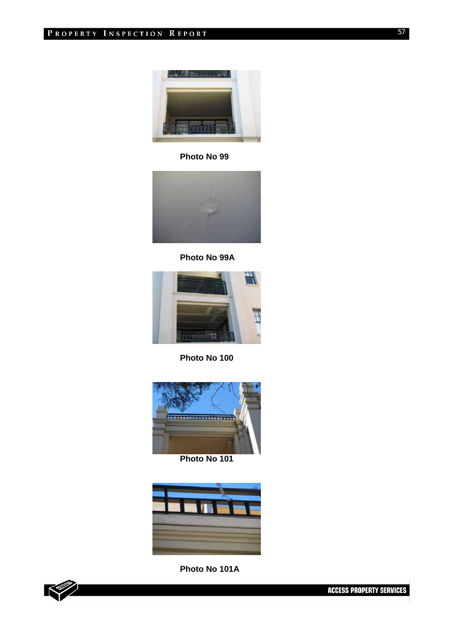

**Photo No 99** 



**Photo No 99A** 



**Photo No 100** 



**Photo No 101** 



**Photo No 101A** 

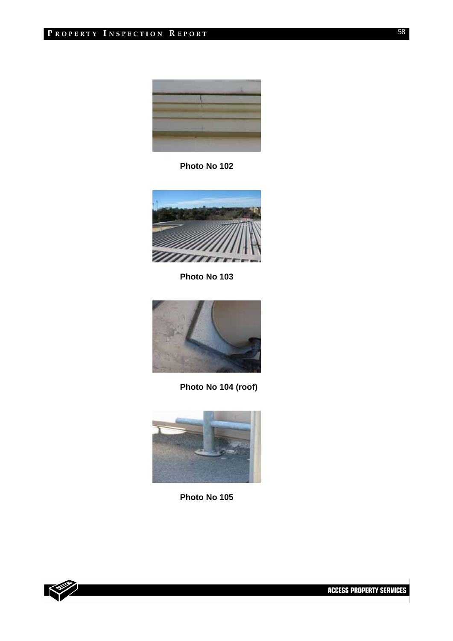

**Photo No 102** 



**Photo No 103** 



**Photo No 104 (roof)** 



**Photo No 105** 

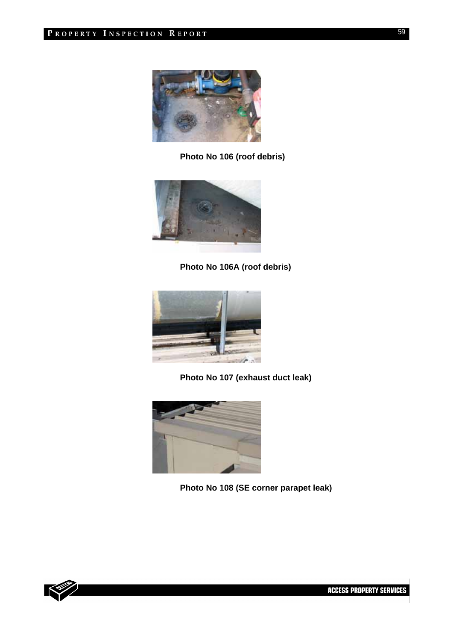

**Photo No 106 (roof debris)** 



**Photo No 106A (roof debris)** 



**Photo No 107 (exhaust duct leak)** 



**Photo No 108 (SE corner parapet leak)**